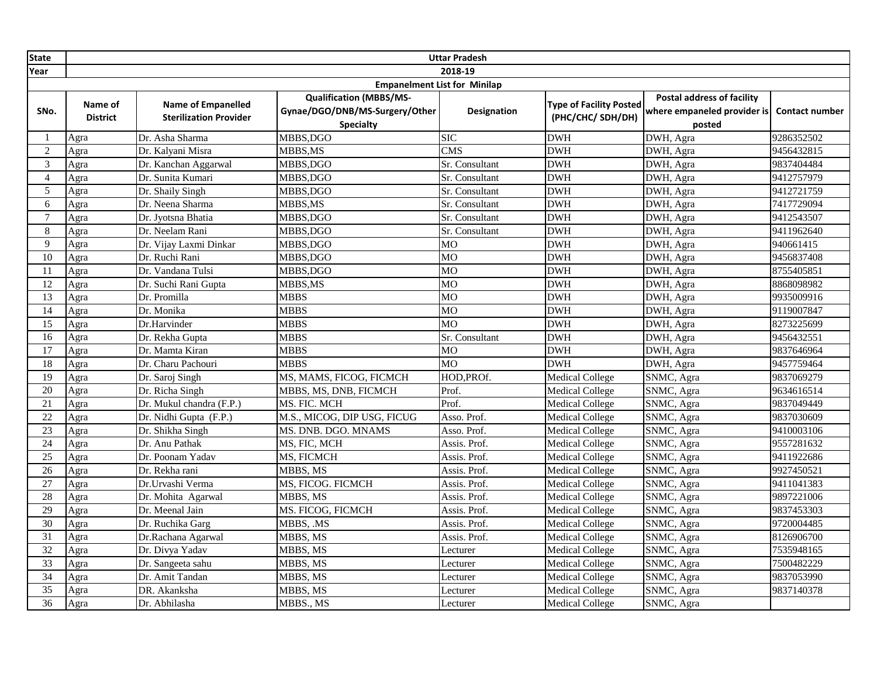| <b>State</b>    |                                     |                                                            |                                                                                      | <b>Uttar Pradesh</b>    |                                                    |                                                                     |                       |  |
|-----------------|-------------------------------------|------------------------------------------------------------|--------------------------------------------------------------------------------------|-------------------------|----------------------------------------------------|---------------------------------------------------------------------|-----------------------|--|
| Year            |                                     |                                                            |                                                                                      | 2018-19                 |                                                    |                                                                     |                       |  |
|                 | <b>Empanelment List for Minilap</b> |                                                            |                                                                                      |                         |                                                    |                                                                     |                       |  |
| SNo.            | Name of<br><b>District</b>          | <b>Name of Empanelled</b><br><b>Sterilization Provider</b> | <b>Qualification (MBBS/MS-</b><br>Gynae/DGO/DNB/MS-Surgery/Other<br><b>Specialty</b> | <b>Designation</b>      | <b>Type of Facility Posted</b><br>(PHC/CHC/SDH/DH) | Postal address of facility<br>where empaneled provider is<br>posted | <b>Contact number</b> |  |
|                 | Agra                                | Dr. Asha Sharma                                            | MBBS,DGO                                                                             | $\overline{\text{SIC}}$ | <b>DWH</b>                                         | DWH, Agra                                                           | 9286352502            |  |
| 2               | Agra                                | Dr. Kalyani Misra                                          | MBBS,MS                                                                              | CMS                     | <b>DWH</b>                                         | DWH, Agra                                                           | 9456432815            |  |
| 3               | Agra                                | Dr. Kanchan Aggarwal                                       | MBBS,DGO                                                                             | Sr. Consultant          | <b>DWH</b>                                         | DWH, Agra                                                           | 9837404484            |  |
| $\overline{4}$  | Agra                                | Dr. Sunita Kumari                                          | MBBS,DGO                                                                             | Sr. Consultant          | DWH                                                | DWH, Agra                                                           | 9412757979            |  |
| 5               | Agra                                | Dr. Shaily Singh                                           | MBBS,DGO                                                                             | Sr. Consultant          | <b>DWH</b>                                         | DWH, Agra                                                           | 9412721759            |  |
| 6               | Agra                                | Dr. Neena Sharma                                           | MBBS,MS                                                                              | Sr. Consultant          | <b>DWH</b>                                         | DWH, Agra                                                           | 7417729094            |  |
| $\tau$          | Agra                                | Dr. Jyotsna Bhatia                                         | MBBS,DGO                                                                             | Sr. Consultant          | <b>DWH</b>                                         | DWH, Agra                                                           | 9412543507            |  |
| 8               | Agra                                | Dr. Neelam Rani                                            | MBBS,DGO                                                                             | Sr. Consultant          | <b>DWH</b>                                         | DWH, Agra                                                           | 9411962640            |  |
| 9               | Agra                                | Dr. Vijay Laxmi Dinkar                                     | MBBS, DGO                                                                            | MO                      | <b>DWH</b>                                         | DWH, Agra                                                           | 940661415             |  |
| 10              | Agra                                | Dr. Ruchi Rani                                             | MBBS,DGO                                                                             | M <sub>O</sub>          | DWH                                                | DWH, Agra                                                           | 9456837408            |  |
| 11              | Agra                                | Dr. Vandana Tulsi                                          | MBBS,DGO                                                                             | MO                      | <b>DWH</b>                                         | DWH, Agra                                                           | 8755405851            |  |
| $\overline{12}$ | Agra                                | Dr. Suchi Rani Gupta                                       | MBBS,MS                                                                              | MO                      | <b>DWH</b>                                         | DWH, Agra                                                           | 8868098982            |  |
| $\overline{13}$ | Agra                                | Dr. Promilla                                               | <b>MBBS</b>                                                                          | MO                      | <b>DWH</b>                                         | DWH, Agra                                                           | 9935009916            |  |
| $\overline{14}$ | Agra                                | Dr. Monika                                                 | <b>MBBS</b>                                                                          | <b>MO</b>               | <b>DWH</b>                                         | DWH, Agra                                                           | 9119007847            |  |
| $\overline{15}$ | Agra                                | Dr.Harvinder                                               | <b>MBBS</b>                                                                          | MO                      | <b>DWH</b>                                         | DWH, Agra                                                           | 8273225699            |  |
| 16              | Agra                                | Dr. Rekha Gupta                                            | <b>MBBS</b>                                                                          | Sr. Consultant          | <b>DWH</b>                                         | DWH, Agra                                                           | 9456432551            |  |
| 17              | Agra                                | Dr. Mamta Kiran                                            | <b>MBBS</b>                                                                          | M <sub>O</sub>          | DWH                                                | DWH, Agra                                                           | 9837646964            |  |
| 18              | Agra                                | Dr. Charu Pachouri                                         | <b>MBBS</b>                                                                          | MO                      | <b>DWH</b>                                         | DWH, Agra                                                           | 9457759464            |  |
| 19              | Agra                                | Dr. Saroj Singh                                            | MS, MAMS, FICOG, FICMCH                                                              | HOD, PROf.              | <b>Medical College</b>                             | SNMC, Agra                                                          | 9837069279            |  |
| $\overline{20}$ | Agra                                | Dr. Richa Singh                                            | MBBS, MS, DNB, FICMCH                                                                | Prof.                   | <b>Medical College</b>                             | SNMC, Agra                                                          | 9634616514            |  |
| 21              | Agra                                | Dr. Mukul chandra (F.P.)                                   | MS. FIC. MCH                                                                         | Prof.                   | <b>Medical College</b>                             | SNMC, Agra                                                          | 9837049449            |  |
| 22              | Agra                                | Dr. Nidhi Gupta (F.P.)                                     | M.S., MICOG, DIP USG, FICUG                                                          | Asso. Prof.             | <b>Medical College</b>                             | SNMC, Agra                                                          | 9837030609            |  |
| $\overline{23}$ | Agra                                | Dr. Shikha Singh                                           | MS. DNB. DGO. MNAMS                                                                  | Asso. Prof.             | <b>Medical College</b>                             | SNMC, Agra                                                          | 9410003106            |  |
| $\overline{24}$ | Agra                                | Dr. Anu Pathak                                             | MS, FIC, MCH                                                                         | Assis. Prof.            | <b>Medical College</b>                             | SNMC, Agra                                                          | 9557281632            |  |
| 25              | Agra                                | Dr. Poonam Yadav                                           | MS, FICMCH                                                                           | Assis. Prof.            | <b>Medical College</b>                             | SNMC, Agra                                                          | 9411922686            |  |
| $\overline{26}$ | Agra                                | Dr. Rekha rani                                             | MBBS, MS                                                                             | Assis. Prof.            | <b>Medical College</b>                             | SNMC, Agra                                                          | 9927450521            |  |
| 27              | Agra                                | Dr.Urvashi Verma                                           | MS, FICOG. FICMCH                                                                    | Assis. Prof.            | <b>Medical College</b>                             | SNMC, Agra                                                          | 9411041383            |  |
| $\overline{28}$ | Agra                                | Dr. Mohita Agarwal                                         | MBBS, MS                                                                             | Assis. Prof.            | <b>Medical College</b>                             | SNMC, Agra                                                          | 9897221006            |  |
| 29              | Agra                                | Dr. Meenal Jain                                            | MS. FICOG, FICMCH                                                                    | Assis. Prof.            | <b>Medical College</b>                             | SNMC, Agra                                                          | 9837453303            |  |
| $\overline{30}$ | Agra                                | Dr. Ruchika Garg                                           | MBBS, .MS                                                                            | Assis. Prof.            | <b>Medical College</b>                             | SNMC, Agra                                                          | 9720004485            |  |
| 31              | Agra                                | Dr.Rachana Agarwal                                         | MBBS, MS                                                                             | Assis. Prof.            | <b>Medical College</b>                             | SNMC, Agra                                                          | 8126906700            |  |
| 32              | Agra                                | Dr. Divya Yadav                                            | MBBS, MS                                                                             | Lecturer                | <b>Medical College</b>                             | SNMC, Agra                                                          | 7535948165            |  |
| $\overline{33}$ | Agra                                | Dr. Sangeeta sahu                                          | MBBS, MS                                                                             | Lecturer                | <b>Medical College</b>                             | SNMC, Agra                                                          | 7500482229            |  |
| $\overline{34}$ | Agra                                | Dr. Amit Tandan                                            | MBBS, MS                                                                             | Lecturer                | <b>Medical College</b>                             | SNMC, Agra                                                          | 9837053990            |  |
| $\overline{35}$ | Agra                                | DR. Akanksha                                               | MBBS, MS                                                                             | Lecturer                | <b>Medical College</b>                             | SNMC, Agra                                                          | 9837140378            |  |
| $\overline{36}$ | Agra                                | Dr. Abhilasha                                              | MBBS., MS                                                                            | Lecturer                | <b>Medical College</b>                             | SNMC, Agra                                                          |                       |  |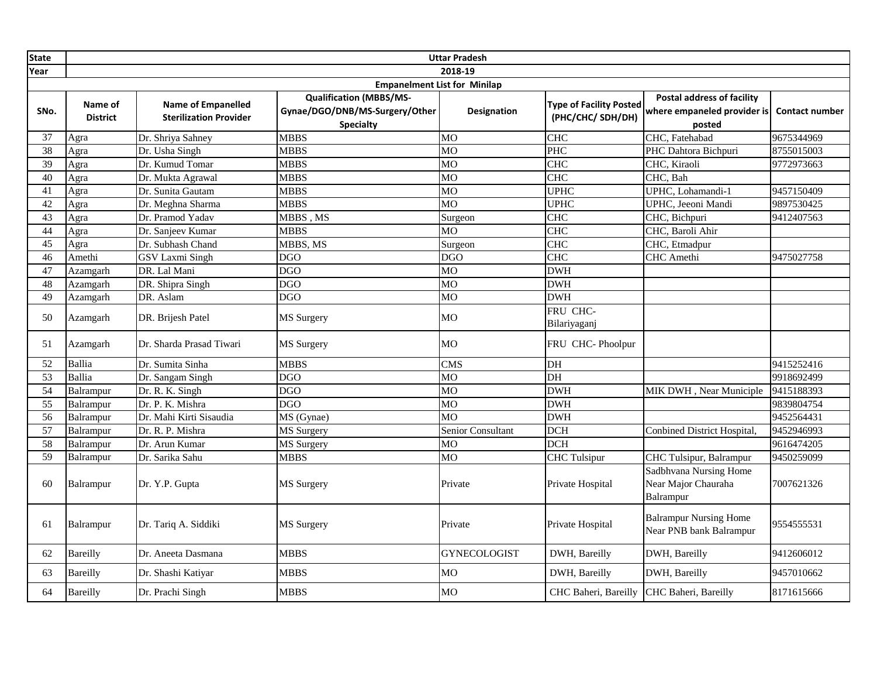| <b>State</b>    |                                     |                                                            |                                                                                      | <b>Uttar Pradesh</b> |                                                    |                                                                            |                       |  |  |
|-----------------|-------------------------------------|------------------------------------------------------------|--------------------------------------------------------------------------------------|----------------------|----------------------------------------------------|----------------------------------------------------------------------------|-----------------------|--|--|
| Year            |                                     |                                                            |                                                                                      | 2018-19              |                                                    |                                                                            |                       |  |  |
|                 | <b>Empanelment List for Minilap</b> |                                                            |                                                                                      |                      |                                                    |                                                                            |                       |  |  |
| SNo.            | Name of<br><b>District</b>          | <b>Name of Empanelled</b><br><b>Sterilization Provider</b> | <b>Qualification (MBBS/MS-</b><br>Gynae/DGO/DNB/MS-Surgery/Other<br><b>Specialty</b> | <b>Designation</b>   | <b>Type of Facility Posted</b><br>(PHC/CHC/SDH/DH) | <b>Postal address of facility</b><br>where empaneled provider is<br>posted | <b>Contact number</b> |  |  |
| 37              | Agra                                | Dr. Shriya Sahney                                          | <b>MBBS</b>                                                                          | M <sub>O</sub>       | <b>CHC</b>                                         | CHC, Fatehabad                                                             | 9675344969            |  |  |
| 38              | Agra                                | Dr. Usha Singh                                             | <b>MBBS</b>                                                                          | $\overline{MO}$      | PHC                                                | PHC Dahtora Bichpuri                                                       | 8755015003            |  |  |
| 39              | Agra                                | Dr. Kumud Tomar                                            | <b>MBBS</b>                                                                          | <b>MO</b>            | <b>CHC</b>                                         | CHC, Kiraoli                                                               | 9772973663            |  |  |
| 40              | Agra                                | Dr. Mukta Agrawal                                          | <b>MBBS</b>                                                                          | $\overline{MO}$      | <b>CHC</b>                                         | CHC, Bah                                                                   |                       |  |  |
| 41              | Agra                                | Dr. Sunita Gautam                                          | <b>MBBS</b>                                                                          | MO                   | <b>UPHC</b>                                        | UPHC, Lohamandi-1                                                          | 9457150409            |  |  |
| 42              | Agra                                | Dr. Meghna Sharma                                          | <b>MBBS</b>                                                                          | MO                   | <b>UPHC</b>                                        | UPHC, Jeeoni Mandi                                                         | 9897530425            |  |  |
| $\overline{43}$ | Agra                                | Dr. Pramod Yadav                                           | MBBS, MS                                                                             | Surgeon              | CHC                                                | CHC, Bichpuri                                                              | 9412407563            |  |  |
| 44              | Agra                                | Dr. Sanjeev Kumar                                          | <b>MBBS</b>                                                                          | <b>MO</b>            | <b>CHC</b>                                         | CHC, Baroli Ahir                                                           |                       |  |  |
| $\overline{45}$ | Agra                                | Dr. Subhash Chand                                          | MBBS, MS                                                                             | Surgeon              | <b>CHC</b>                                         | CHC, Etmadpur                                                              |                       |  |  |
| 46              | Amethi                              | <b>GSV Laxmi Singh</b>                                     | <b>DGO</b>                                                                           | <b>DGO</b>           | <b>CHC</b>                                         | CHC Amethi                                                                 | 9475027758            |  |  |
| 47              | Azamgarh                            | DR. Lal Mani                                               | <b>DGO</b>                                                                           | <b>MO</b>            | <b>DWH</b>                                         |                                                                            |                       |  |  |
| 48              | Azamgarh                            | DR. Shipra Singh                                           | <b>DGO</b>                                                                           | $\overline{MO}$      | <b>DWH</b>                                         |                                                                            |                       |  |  |
| 49              | Azamgarh                            | DR. Aslam                                                  | <b>DGO</b>                                                                           | M <sub>O</sub>       | <b>DWH</b>                                         |                                                                            |                       |  |  |
| 50              | Azamgarh                            | DR. Brijesh Patel                                          | MS Surgery                                                                           | MO                   | FRU CHC-<br>Bilariyaganj                           |                                                                            |                       |  |  |
| 51              | Azamgarh                            | Dr. Sharda Prasad Tiwari                                   | MS Surgery                                                                           | MO                   | FRU CHC-Phoolpur                                   |                                                                            |                       |  |  |
| 52              | Ballia                              | Dr. Sumita Sinha                                           | <b>MBBS</b>                                                                          | <b>CMS</b>           | DH                                                 |                                                                            | 9415252416            |  |  |
| 53              | <b>Ballia</b>                       | Dr. Sangam Singh                                           | <b>DGO</b>                                                                           | MO                   | $\overline{DH}$                                    |                                                                            | 9918692499            |  |  |
| 54              | Balrampur                           | Dr. R. K. Singh                                            | <b>DGO</b>                                                                           | MO                   | <b>DWH</b>                                         | MIK DWH, Near Municiple                                                    | 9415188393            |  |  |
| 55              | Balrampur                           | Dr. P. K. Mishra                                           | <b>DGO</b>                                                                           | <b>MO</b>            | <b>DWH</b>                                         |                                                                            | 9839804754            |  |  |
| 56              | Balrampur                           | Dr. Mahi Kirti Sisaudia                                    | MS (Gynae)                                                                           | $\overline{MO}$      | <b>DWH</b>                                         |                                                                            | 9452564431            |  |  |
| 57              | Balrampur                           | Dr. R. P. Mishra                                           | MS Surgery                                                                           | Senior Consultant    | <b>DCH</b>                                         | Conbined District Hospital,                                                | 9452946993            |  |  |
| 58              | Balrampur                           | Dr. Arun Kumar                                             | MS Surgery                                                                           | МO                   | <b>DCH</b>                                         |                                                                            | 9616474205            |  |  |
| 59              | Balrampur                           | Dr. Sarika Sahu                                            | <b>MBBS</b>                                                                          | МO                   | <b>CHC</b> Tulsipur                                | CHC Tulsipur, Balrampur                                                    | 9450259099            |  |  |
| 60              | Balrampur                           | Dr. Y.P. Gupta                                             | <b>MS</b> Surgery                                                                    | Private              | Private Hospital                                   | Sadbhvana Nursing Home<br>Near Major Chauraha<br>Balrampur                 | 7007621326            |  |  |
| 61              | Balrampur                           | Dr. Tariq A. Siddiki                                       | MS Surgery                                                                           | Private              | Private Hospital                                   | <b>Balrampur Nursing Home</b><br>Near PNB bank Balrampur                   | 9554555531            |  |  |
| 62              | <b>Bareilly</b>                     | Dr. Aneeta Dasmana                                         | <b>MBBS</b>                                                                          | <b>GYNECOLOGIST</b>  | DWH, Bareilly                                      | DWH, Bareilly                                                              | 9412606012            |  |  |
| 63              | <b>Bareilly</b>                     | Dr. Shashi Katiyar                                         | <b>MBBS</b>                                                                          | MO                   | DWH, Bareilly                                      | DWH, Bareilly                                                              | 9457010662            |  |  |
| 64              | <b>Bareilly</b>                     | Dr. Prachi Singh                                           | <b>MBBS</b>                                                                          | M <sub>O</sub>       | CHC Baheri, Bareilly CHC Baheri, Bareilly          |                                                                            | 8171615666            |  |  |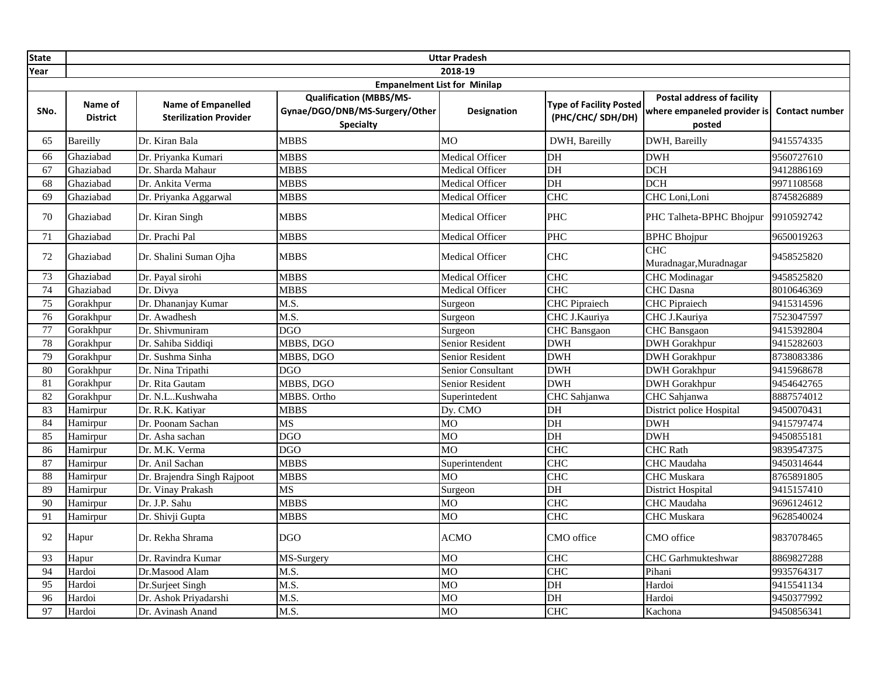| <b>State</b>    |                            |                                                            |                                                                                      | <b>Uttar Pradesh</b>     |                                                    |                                                                            |                       |
|-----------------|----------------------------|------------------------------------------------------------|--------------------------------------------------------------------------------------|--------------------------|----------------------------------------------------|----------------------------------------------------------------------------|-----------------------|
| Year            |                            |                                                            |                                                                                      | 2018-19                  |                                                    |                                                                            |                       |
|                 |                            |                                                            | <b>Empanelment List for Minilap</b>                                                  |                          |                                                    |                                                                            |                       |
| SNo.            | Name of<br><b>District</b> | <b>Name of Empanelled</b><br><b>Sterilization Provider</b> | <b>Qualification (MBBS/MS-</b><br>Gynae/DGO/DNB/MS-Surgery/Other<br><b>Specialty</b> | <b>Designation</b>       | <b>Type of Facility Posted</b><br>(PHC/CHC/SDH/DH) | <b>Postal address of facility</b><br>where empaneled provider is<br>posted | <b>Contact number</b> |
| 65              | <b>Bareilly</b>            | Dr. Kiran Bala                                             | <b>MBBS</b>                                                                          | <b>MO</b>                | DWH, Bareilly                                      | DWH, Bareilly                                                              | 9415574335            |
| 66              | Ghaziabad                  | Dr. Priyanka Kumari                                        | <b>MBBS</b>                                                                          | Medical Officer          | DH                                                 | <b>DWH</b>                                                                 | 9560727610            |
| 67              | Ghaziabad                  | Dr. Sharda Mahaur                                          | <b>MBBS</b>                                                                          | Medical Officer          | DH                                                 | <b>DCH</b>                                                                 | 9412886169            |
| 68              | Ghaziabad                  | Dr. Ankita Verma                                           | <b>MBBS</b>                                                                          | <b>Medical Officer</b>   | DH                                                 | DCH                                                                        | 9971108568            |
| 69              | Ghaziabad                  | Dr. Priyanka Aggarwal                                      | <b>MBBS</b>                                                                          | Medical Officer          | <b>CHC</b>                                         | CHC Loni,Loni                                                              | 8745826889            |
| 70              | Ghaziabad                  | Dr. Kiran Singh                                            | <b>MBBS</b>                                                                          | Medical Officer          | <b>PHC</b>                                         | PHC Talheta-BPHC Bhojpur                                                   | 9910592742            |
| 71              | Ghaziabad                  | Dr. Prachi Pal                                             | <b>MBBS</b>                                                                          | Medical Officer          | PHC                                                | <b>BPHC Bhojpur</b>                                                        | 9650019263            |
| 72              | Ghaziabad                  | Dr. Shalini Suman Ojha                                     | <b>MBBS</b>                                                                          | Medical Officer          | <b>CHC</b>                                         | <b>CHC</b><br>Muradnagar, Muradnagar                                       | 9458525820            |
| 73              | Ghaziabad                  | Dr. Payal sirohi                                           | <b>MBBS</b>                                                                          | Medical Officer          | <b>CHC</b>                                         | <b>CHC</b> Modinagar                                                       | 9458525820            |
| $\overline{74}$ | Ghaziabad                  | Dr. Divya                                                  | <b>MBBS</b>                                                                          | Medical Officer          | CHC                                                | <b>CHC</b> Dasna                                                           | 8010646369            |
| 75              | Gorakhpur                  | Dr. Dhananjay Kumar                                        | M.S.                                                                                 | Surgeon                  | <b>CHC</b> Pipraiech                               | <b>CHC</b> Pipraiech                                                       | 9415314596            |
| 76              | Gorakhpur                  | Dr. Awadhesh                                               | M.S.                                                                                 | Surgeon                  | CHC J.Kauriya                                      | CHC J.Kauriya                                                              | 7523047597            |
| 77              | Gorakhpur                  | Dr. Shivmuniram                                            | <b>DGO</b>                                                                           | Surgeon                  | CHC Bansgaon                                       | <b>CHC</b> Bansgaon                                                        | 9415392804            |
| 78              | Gorakhpur                  | Dr. Sahiba Siddiqi                                         | MBBS, DGO                                                                            | Senior Resident          | <b>DWH</b>                                         | <b>DWH</b> Gorakhpur                                                       | 9415282603            |
| 79              | Gorakhpur                  | Dr. Sushma Sinha                                           | MBBS, DGO                                                                            | Senior Resident          | <b>DWH</b>                                         | <b>DWH</b> Gorakhpur                                                       | 8738083386            |
| 80              | Gorakhpur                  | Dr. Nina Tripathi                                          | <b>DGO</b>                                                                           | <b>Senior Consultant</b> | <b>DWH</b>                                         | <b>DWH</b> Gorakhpur                                                       | 9415968678            |
| 81              | Gorakhpur                  | Dr. Rita Gautam                                            | MBBS, DGO                                                                            | Senior Resident          | <b>DWH</b>                                         | <b>DWH</b> Gorakhpur                                                       | 9454642765            |
| $\overline{82}$ | Gorakhpur                  | Dr. N.LKushwaha                                            | MBBS. Ortho                                                                          | Superintedent            | CHC Sahjanwa                                       | CHC Sahjanwa                                                               | 8887574012            |
| 83              | Hamirpur                   | Dr. R.K. Katiyar                                           | <b>MBBS</b>                                                                          | Dy. CMO                  | DH                                                 | District police Hospital                                                   | 9450070431            |
| 84              | Hamirpur                   | Dr. Poonam Sachan                                          | <b>MS</b>                                                                            | МO                       | DH                                                 | <b>DWH</b>                                                                 | 9415797474            |
| 85              | Hamirpur                   | Dr. Asha sachan                                            | <b>DGO</b>                                                                           | MO                       | $\overline{DH}$                                    | <b>DWH</b>                                                                 | 9450855181            |
| 86              | Hamirpur                   | Dr. M.K. Verma                                             | <b>DGO</b>                                                                           | M <sub>O</sub>           | <b>CHC</b>                                         | <b>CHC</b> Rath                                                            | 9839547375            |
| 87              | Hamirpur                   | Dr. Anil Sachan                                            | <b>MBBS</b>                                                                          | Superintendent           | <b>CHC</b>                                         | CHC Maudaha                                                                | 9450314644            |
| 88              | Hamirpur                   | Dr. Brajendra Singh Rajpoot                                | <b>MBBS</b>                                                                          | M <sub>O</sub>           | <b>CHC</b>                                         | <b>CHC</b> Muskara                                                         | 8765891805            |
| 89              | Hamirpur                   | Dr. Vinay Prakash                                          | <b>MS</b>                                                                            | Surgeon                  | DH                                                 | <b>District Hospital</b>                                                   | 9415157410            |
| 90              | Hamirpur                   | Dr. J.P. Sahu                                              | <b>MBBS</b>                                                                          | M <sub>O</sub>           | <b>CHC</b>                                         | <b>CHC</b> Maudaha                                                         | 9696124612            |
| 91              | Hamirpur                   | Dr. Shivji Gupta                                           | <b>MBBS</b>                                                                          | MO                       | <b>CHC</b>                                         | <b>CHC</b> Muskara                                                         | 9628540024            |
| 92              | Hapur                      | Dr. Rekha Shrama                                           | <b>DGO</b>                                                                           | ACMO                     | CMO office                                         | CMO office                                                                 | 9837078465            |
| 93              | Hapur                      | Dr. Ravindra Kumar                                         | MS-Surgery                                                                           | MO                       | <b>CHC</b>                                         | <b>CHC</b> Garhmukteshwar                                                  | 8869827288            |
| 94              | Hardoi                     | Dr.Masood Alam                                             | M.S.                                                                                 | <b>MO</b>                | <b>CHC</b>                                         | Pihani                                                                     | 9935764317            |
| 95              | Hardoi                     | Dr.Surjeet Singh                                           | M.S.                                                                                 | МO                       | DH                                                 | Hardoi                                                                     | 9415541134            |
| 96              | Hardoi                     | Dr. Ashok Priyadarshi                                      | M.S.                                                                                 | <b>MO</b>                | DH                                                 | Hardoi                                                                     | 9450377992            |
| 97              | Hardoi                     | Dr. Avinash Anand                                          | M.S.                                                                                 | <b>MO</b>                | <b>CHC</b>                                         | Kachona                                                                    | 9450856341            |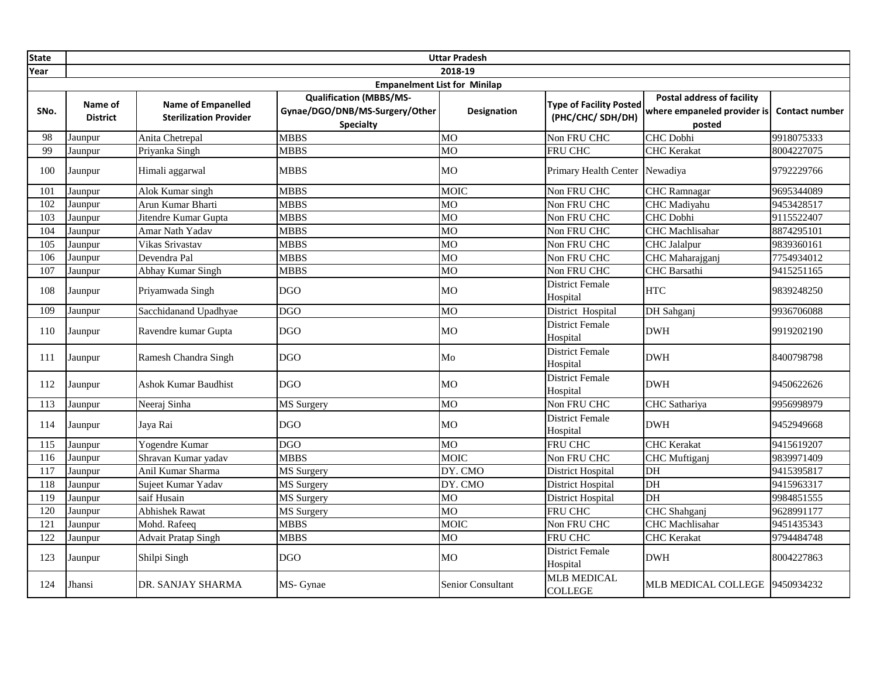| <b>State</b> |                            |                                                            |                                                                                      | <b>Uttar Pradesh</b> |                                                    |                                                                            |                       |
|--------------|----------------------------|------------------------------------------------------------|--------------------------------------------------------------------------------------|----------------------|----------------------------------------------------|----------------------------------------------------------------------------|-----------------------|
| Year         |                            |                                                            |                                                                                      | 2018-19              |                                                    |                                                                            |                       |
|              |                            |                                                            | <b>Empanelment List for Minilap</b>                                                  |                      |                                                    |                                                                            |                       |
| SNo.         | Name of<br><b>District</b> | <b>Name of Empanelled</b><br><b>Sterilization Provider</b> | <b>Qualification (MBBS/MS-</b><br>Gynae/DGO/DNB/MS-Surgery/Other<br><b>Specialty</b> | <b>Designation</b>   | <b>Type of Facility Posted</b><br>(PHC/CHC/SDH/DH) | <b>Postal address of facility</b><br>where empaneled provider is<br>posted | <b>Contact number</b> |
| 98           | Jaunpur                    | Anita Chetrepal                                            | <b>MBBS</b>                                                                          | <b>MO</b>            | Non FRU CHC                                        | CHC Dobhi                                                                  | 9918075333            |
| 99           | Jaunpur                    | Priyanka Singh                                             | <b>MBBS</b>                                                                          | MO                   | FRU CHC                                            | <b>CHC</b> Kerakat                                                         | 8004227075            |
| 100          | Jaunpur                    | Himali aggarwal                                            | <b>MBBS</b>                                                                          | MO                   | Primary Health Center Newadiya                     |                                                                            | 9792229766            |
| 101          | Jaunpur                    | Alok Kumar singh                                           | <b>MBBS</b>                                                                          | <b>MOIC</b>          | Non FRU CHC                                        | CHC Ramnagar                                                               | 9695344089            |
| 102          | Jaunpur                    | Arun Kumar Bharti                                          | <b>MBBS</b>                                                                          | МO                   | Non FRU CHC                                        | <b>CHC</b> Madiyahu                                                        | 9453428517            |
| 103          | Jaunpur                    | Jitendre Kumar Gupta                                       | <b>MBBS</b>                                                                          | MO                   | Non FRU CHC                                        | CHC Dobhi                                                                  | 9115522407            |
| 104          | Jaunpur                    | Amar Nath Yadav                                            | <b>MBBS</b>                                                                          | <b>MO</b>            | Non FRU CHC                                        | <b>CHC</b> Machlisahar                                                     | 8874295101            |
| 105          | Jaunpur                    | Vikas Srivastav                                            | <b>MBBS</b>                                                                          | <b>MO</b>            | Non FRU CHC                                        | CHC Jalalpur                                                               | 9839360161            |
| 106          | Jaunpur                    | Devendra Pal                                               | <b>MBBS</b>                                                                          | MO                   | Non FRU CHC                                        | CHC Maharajganj                                                            | 7754934012            |
| 107          | Jaunpur                    | Abhay Kumar Singh                                          | <b>MBBS</b>                                                                          | MO                   | Non FRU CHC                                        | CHC Barsathi                                                               | 9415251165            |
| 108          | Jaunpur                    | Priyamwada Singh                                           | <b>DGO</b>                                                                           | МO                   | <b>District Female</b><br>Hospital                 | <b>HTC</b>                                                                 | 9839248250            |
| 109          | Jaunpur                    | Sacchidanand Upadhyae                                      | <b>DGO</b>                                                                           | MO                   | District Hospital                                  | DH Sahganj                                                                 | 9936706088            |
| 110          | Jaunpur                    | Ravendre kumar Gupta                                       | <b>DGO</b>                                                                           | MO                   | <b>District Female</b><br>Hospital                 | <b>DWH</b>                                                                 | 9919202190            |
| 111          | Jaunpur                    | Ramesh Chandra Singh                                       | <b>DGO</b>                                                                           | Mo                   | District Female<br>Hospital                        | <b>DWH</b>                                                                 | 8400798798            |
| 112          | Jaunpur                    | <b>Ashok Kumar Baudhist</b>                                | <b>DGO</b>                                                                           | MO                   | <b>District Female</b><br>Hospital                 | <b>DWH</b>                                                                 | 9450622626            |
| 113          | Jaunpur                    | Neeraj Sinha                                               | MS Surgery                                                                           | MO                   | Non FRU CHC                                        | CHC Sathariya                                                              | 9956998979            |
| 114          | Jaunpur                    | Jaya Rai                                                   | <b>DGO</b>                                                                           | MO                   | <b>District Female</b><br>Hospital                 | <b>DWH</b>                                                                 | 9452949668            |
| 115          | Jaunpur                    | Yogendre Kumar                                             | <b>DGO</b>                                                                           | <b>MO</b>            | FRU CHC                                            | <b>CHC</b> Kerakat                                                         | 9415619207            |
| 116          | Jaunpur                    | Shravan Kumar yadav                                        | <b>MBBS</b>                                                                          | <b>MOIC</b>          | Non FRU CHC                                        | CHC Muftiganj                                                              | 9839971409            |
| 117          | Jaunpur                    | Anil Kumar Sharma                                          | MS Surgery                                                                           | DY. CMO              | District Hospital                                  | DH                                                                         | 9415395817            |
| 118          | Jaunpur                    | Sujeet Kumar Yadav                                         | MS Surgery                                                                           | DY. CMO              | District Hospital                                  | DH                                                                         | 9415963317            |
| 119          | Jaunpur                    | saif Husain                                                | <b>MS</b> Surgery                                                                    | M <sub>O</sub>       | <b>District Hospital</b>                           | DH                                                                         | 9984851555            |
| 120          | Jaunpur                    | <b>Abhishek Rawat</b>                                      | <b>MS</b> Surgery                                                                    | <b>MO</b>            | <b>FRU CHC</b>                                     | CHC Shahganj                                                               | 9628991177            |
| 121          | Jaunpur                    | Mohd. Rafeeq                                               | <b>MBBS</b>                                                                          | <b>MOIC</b>          | Non FRU CHC                                        | <b>CHC</b> Machlisahar                                                     | 9451435343            |
| 122          | Jaunpur                    | <b>Advait Pratap Singh</b>                                 | <b>MBBS</b>                                                                          | MO                   | <b>FRU CHC</b>                                     | <b>CHC</b> Kerakat                                                         | 9794484748            |
| 123          | Jaunpur                    | Shilpi Singh                                               | <b>DGO</b>                                                                           | МO                   | <b>District Female</b><br>Hospital                 | <b>DWH</b>                                                                 | 8004227863            |
| 124          | Jhansi                     | DR. SANJAY SHARMA                                          | MS- Gynae                                                                            | Senior Consultant    | <b>MLB MEDICAL</b><br><b>COLLEGE</b>               | MLB MEDICAL COLLEGE                                                        | 9450934232            |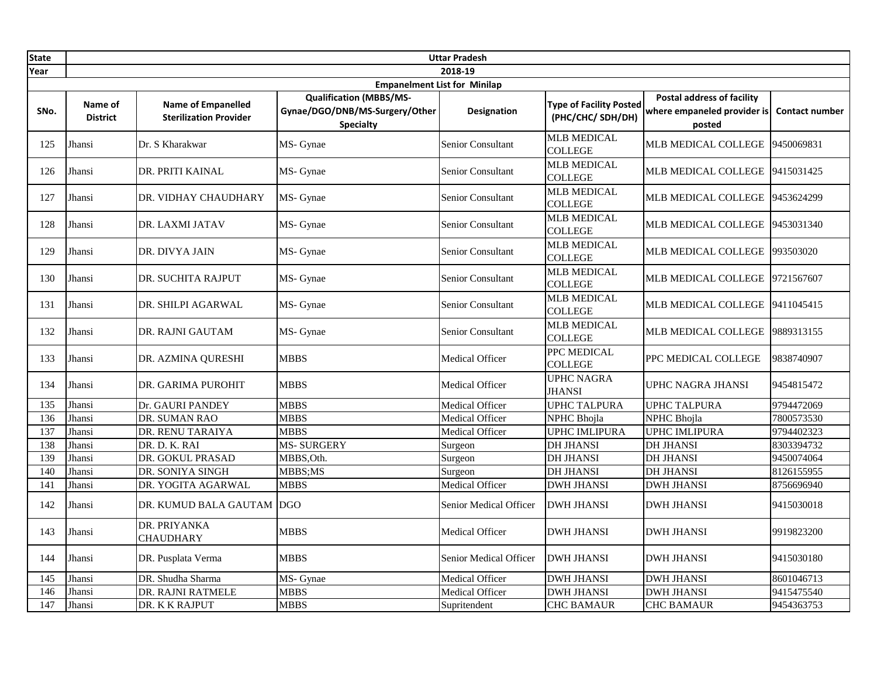| <b>State</b> |                            |                                                            |                                                                                      | <b>Uttar Pradesh</b>     |                                                    |                                                                            |                       |
|--------------|----------------------------|------------------------------------------------------------|--------------------------------------------------------------------------------------|--------------------------|----------------------------------------------------|----------------------------------------------------------------------------|-----------------------|
| Year         |                            |                                                            |                                                                                      | 2018-19                  |                                                    |                                                                            |                       |
|              |                            |                                                            | <b>Empanelment List for Minilap</b>                                                  |                          |                                                    |                                                                            |                       |
| SNo.         | Name of<br><b>District</b> | <b>Name of Empanelled</b><br><b>Sterilization Provider</b> | <b>Qualification (MBBS/MS-</b><br>Gynae/DGO/DNB/MS-Surgery/Other<br><b>Specialty</b> | Designation              | <b>Type of Facility Posted</b><br>(PHC/CHC/SDH/DH) | <b>Postal address of facility</b><br>where empaneled provider is<br>posted | <b>Contact number</b> |
| 125          | Jhansi                     | Dr. S Kharakwar                                            | MS- Gynae                                                                            | <b>Senior Consultant</b> | <b>MLB MEDICAL</b><br><b>COLLEGE</b>               | MLB MEDICAL COLLEGE                                                        | 9450069831            |
| 126          | Jhansi                     | DR. PRITI KAINAL                                           | MS- Gynae                                                                            | Senior Consultant        | <b>MLB MEDICAL</b><br><b>COLLEGE</b>               | MLB MEDICAL COLLEGE                                                        | 9415031425            |
| 127          | Jhansi                     | DR. VIDHAY CHAUDHARY                                       | MS- Gynae                                                                            | <b>Senior Consultant</b> | <b>MLB MEDICAL</b><br><b>COLLEGE</b>               | MLB MEDICAL COLLEGE                                                        | 9453624299            |
| 128          | Jhansi                     | DR. LAXMI JATAV                                            | MS- Gynae                                                                            | Senior Consultant        | <b>MLB MEDICAL</b><br><b>COLLEGE</b>               | MLB MEDICAL COLLEGE                                                        | 9453031340            |
| 129          | Jhansi                     | DR. DIVYA JAIN                                             | MS- Gynae                                                                            | Senior Consultant        | <b>MLB MEDICAL</b><br><b>COLLEGE</b>               | MLB MEDICAL COLLEGE 993503020                                              |                       |
| 130          | Jhansi                     | DR. SUCHITA RAJPUT                                         | MS- Gynae                                                                            | Senior Consultant        | <b>MLB MEDICAL</b><br><b>COLLEGE</b>               | MLB MEDICAL COLLEGE                                                        | 9721567607            |
| 131          | Jhansi                     | DR. SHILPI AGARWAL                                         | MS- Gynae                                                                            | Senior Consultant        | <b>MLB MEDICAL</b><br><b>COLLEGE</b>               | MLB MEDICAL COLLEGE 9411045415                                             |                       |
| 132          | Jhansi                     | DR. RAJNI GAUTAM                                           | MS- Gynae                                                                            | <b>Senior Consultant</b> | <b>MLB MEDICAL</b><br><b>COLLEGE</b>               | MLB MEDICAL COLLEGE                                                        | 9889313155            |
| 133          | Jhansi                     | DR. AZMINA QURESHI                                         | <b>MBBS</b>                                                                          | Medical Officer          | PPC MEDICAL<br><b>COLLEGE</b>                      | PPC MEDICAL COLLEGE                                                        | 9838740907            |
| 134          | Jhansi                     | DR. GARIMA PUROHIT                                         | <b>MBBS</b>                                                                          | <b>Medical Officer</b>   | <b>UPHC NAGRA</b><br><b>JHANSI</b>                 | <b>UPHC NAGRA JHANSI</b>                                                   | 9454815472            |
| 135          | Jhansi                     | Dr. GAURI PANDEY                                           | <b>MBBS</b>                                                                          | <b>Medical Officer</b>   | <b>UPHC TALPURA</b>                                | <b>UPHC TALPURA</b>                                                        | 9794472069            |
| 136          | Jhansi                     | DR. SUMAN RAO                                              | <b>MBBS</b>                                                                          | Medical Officer          | <b>NPHC</b> Bhojla                                 | NPHC Bhojla                                                                | 7800573530            |
| 137          | Jhansi                     | DR. RENU TARAIYA                                           | <b>MBBS</b>                                                                          | Medical Officer          | <b>UPHC IMLIPURA</b>                               | <b>UPHC IMLIPURA</b>                                                       | 9794402323            |
| 138          | Jhansi                     | DR. D. K. RAI                                              | <b>MS-SURGERY</b>                                                                    | Surgeon                  | <b>DH JHANSI</b>                                   | <b>DH JHANSI</b>                                                           | 8303394732            |
| 139          | Jhansi                     | DR. GOKUL PRASAD                                           | MBBS, Oth.                                                                           | Surgeon                  | <b>DH JHANSI</b>                                   | <b>DH JHANSI</b>                                                           | 9450074064            |
| 140          | Jhansi                     | DR. SONIYA SINGH                                           | MBBS;MS                                                                              | Surgeon                  | <b>DH JHANSI</b>                                   | <b>DH JHANSI</b>                                                           | 8126155955            |
| 141          | Jhansi                     | DR. YOGITA AGARWAL                                         | <b>MBBS</b>                                                                          | <b>Medical Officer</b>   | <b>DWH JHANSI</b>                                  | <b>DWH JHANSI</b>                                                          | 8756696940            |
| 142          | Jhansi                     | DR. KUMUD BALA GAUTAM                                      | <b>DGO</b>                                                                           | Senior Medical Officer   | <b>DWH JHANSI</b>                                  | <b>DWH JHANSI</b>                                                          | 9415030018            |
| 143          | Jhansi                     | DR. PRIYANKA<br>CHAUDHARY                                  | <b>MBBS</b>                                                                          | Medical Officer          | <b>DWH JHANSI</b>                                  | <b>DWH JHANSI</b>                                                          | 9919823200            |
| 144          | Jhansi                     | DR. Pusplata Verma                                         | <b>MBBS</b>                                                                          | Senior Medical Officer   | <b>DWH JHANSI</b>                                  | <b>DWH JHANSI</b>                                                          | 9415030180            |
| 145          | Jhansi                     | DR. Shudha Sharma                                          | MS- Gynae                                                                            | Medical Officer          | <b>DWH JHANSI</b>                                  | <b>DWH JHANSI</b>                                                          | 8601046713            |
| 146          | Jhansi                     | DR. RAJNI RATMELE                                          | <b>MBBS</b>                                                                          | Medical Officer          | <b>DWH JHANSI</b>                                  | <b>DWH JHANSI</b>                                                          | 9415475540            |
| 147          | Jhansi                     | DR. K K RAJPUT                                             | <b>MBBS</b>                                                                          | Supritendent             | <b>CHC BAMAUR</b>                                  | <b>CHC BAMAUR</b>                                                          | 9454363753            |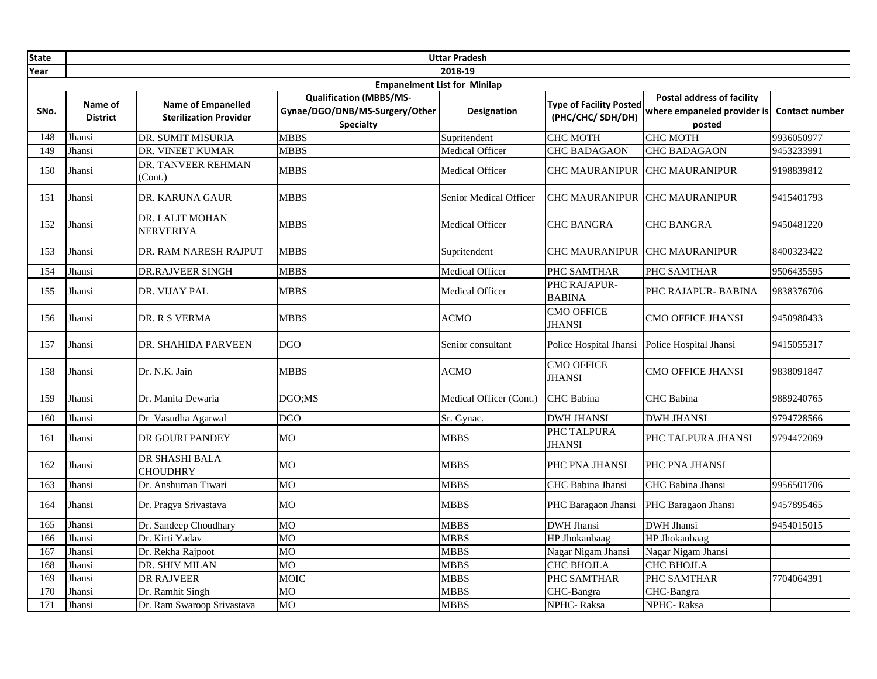| <b>State</b> |                            |                                                            |                                                                                      | <b>Uttar Pradesh</b>    |                                                    |                                                                            |                       |
|--------------|----------------------------|------------------------------------------------------------|--------------------------------------------------------------------------------------|-------------------------|----------------------------------------------------|----------------------------------------------------------------------------|-----------------------|
| Year         |                            |                                                            |                                                                                      | 2018-19                 |                                                    |                                                                            |                       |
|              |                            |                                                            | <b>Empanelment List for Minilap</b>                                                  |                         |                                                    |                                                                            |                       |
| SNo.         | Name of<br><b>District</b> | <b>Name of Empanelled</b><br><b>Sterilization Provider</b> | <b>Qualification (MBBS/MS-</b><br>Gynae/DGO/DNB/MS-Surgery/Other<br><b>Specialty</b> | Designation             | <b>Type of Facility Posted</b><br>(PHC/CHC/SDH/DH) | <b>Postal address of facility</b><br>where empaneled provider is<br>posted | <b>Contact number</b> |
| 148          | Jhansi                     | DR. SUMIT MISURIA                                          | <b>MBBS</b>                                                                          | Supritendent            | <b>CHC MOTH</b>                                    | <b>CHC MOTH</b>                                                            | 9936050977            |
| 149          | Jhansi                     | DR. VINEET KUMAR                                           | <b>MBBS</b>                                                                          | <b>Medical Officer</b>  | <b>CHC BADAGAON</b>                                | <b>CHC BADAGAON</b>                                                        | 9453233991            |
| 150          | Jhansi                     | DR. TANVEER REHMAN<br>(Cont.)                              | MBBS                                                                                 | Medical Officer         | <b>CHC MAURANIPUR</b>                              | <b>CHC MAURANIPUR</b>                                                      | 9198839812            |
| 151          | Jhansi                     | DR. KARUNA GAUR                                            | <b>MBBS</b>                                                                          | Senior Medical Officer  | CHC MAURANIPUR CHC MAURANIPUR                      |                                                                            | 9415401793            |
| 152          | Jhansi                     | DR. LALIT MOHAN<br><b>NERVERIYA</b>                        | <b>MBBS</b>                                                                          | Medical Officer         | <b>CHC BANGRA</b>                                  | <b>CHC BANGRA</b>                                                          | 9450481220            |
| 153          | Jhansi                     | DR. RAM NARESH RAJPUT                                      | <b>MBBS</b>                                                                          | Supritendent            | <b>CHC MAURANIPUR CHC MAURANIPUR</b>               |                                                                            | 8400323422            |
| 154          | Jhansi                     | <b>DR.RAJVEER SINGH</b>                                    | <b>MBBS</b>                                                                          | Medical Officer         | PHC SAMTHAR                                        | PHC SAMTHAR                                                                | 9506435595            |
| 155          | Jhansi                     | DR. VIJAY PAL                                              | <b>MBBS</b>                                                                          | Medical Officer         | PHC RAJAPUR-<br><b>BABINA</b>                      | PHC RAJAPUR- BABINA                                                        | 9838376706            |
| 156          | Jhansi                     | DR. R S VERMA                                              | <b>MBBS</b>                                                                          | <b>ACMO</b>             | <b>CMO OFFICE</b><br><b>JHANSI</b>                 | <b>CMO OFFICE JHANSI</b>                                                   | 9450980433            |
| 157          | Jhansi                     | DR. SHAHIDA PARVEEN                                        | <b>DGO</b>                                                                           | Senior consultant       | Police Hospital Jhansi                             | Police Hospital Jhansi                                                     | 9415055317            |
| 158          | Jhansi                     | Dr. N.K. Jain                                              | <b>MBBS</b>                                                                          | <b>ACMO</b>             | <b>CMO OFFICE</b><br><b>JHANSI</b>                 | CMO OFFICE JHANSI                                                          | 9838091847            |
| 159          | Jhansi                     | Dr. Manita Dewaria                                         | DGO;MS                                                                               | Medical Officer (Cont.) | <b>CHC</b> Babina                                  | <b>CHC</b> Babina                                                          | 9889240765            |
| 160          | Jhansi                     | Dr Vasudha Agarwal                                         | <b>DGO</b>                                                                           | Sr. Gynac.              | <b>DWH JHANSI</b>                                  | <b>DWH JHANSI</b>                                                          | 9794728566            |
| 161          | Jhansi                     | DR GOURI PANDEY                                            | <b>MO</b>                                                                            | <b>MBBS</b>             | PHC TALPURA<br><b>JHANSI</b>                       | PHC TALPURA JHANSI                                                         | 9794472069            |
| 162          | Jhansi                     | DR SHASHI BALA<br><b>CHOUDHRY</b>                          | MO                                                                                   | MBBS                    | PHC PNA JHANSI                                     | PHC PNA JHANSI                                                             |                       |
| 163          | Jhansi                     | Dr. Anshuman Tiwari                                        | <b>MO</b>                                                                            | <b>MBBS</b>             | CHC Babina Jhansi                                  | CHC Babina Jhansi                                                          | 9956501706            |
| 164          | Jhansi                     | Dr. Pragya Srivastava                                      | <b>MO</b>                                                                            | <b>MBBS</b>             | PHC Baragaon Jhansi                                | PHC Baragaon Jhansi                                                        | 9457895465            |
| 165          | Jhansi                     | Dr. Sandeep Choudhary                                      | <b>MO</b>                                                                            | MBBS                    | <b>DWH Jhansi</b>                                  | DWH Jhansi                                                                 | 9454015015            |
| 166          | Jhansi                     | Dr. Kirti Yadav                                            | M <sub>O</sub>                                                                       | <b>MBBS</b>             | HP Jhokanbaag                                      | HP Jhokanbaag                                                              |                       |
| 167          | Jhansi                     | Dr. Rekha Rajpoot                                          | MO                                                                                   | <b>MBBS</b>             | Nagar Nigam Jhansi                                 | Nagar Nigam Jhansi                                                         |                       |
| 168          | Jhansi                     | DR. SHIV MILAN                                             | <b>MO</b>                                                                            | <b>MBBS</b>             | <b>CHC BHOJLA</b>                                  | <b>CHC BHOJLA</b>                                                          |                       |
| 169          | Jhansi                     | <b>DR RAJVEER</b>                                          | <b>MOIC</b>                                                                          | <b>MBBS</b>             | PHC SAMTHAR                                        | PHC SAMTHAR                                                                | 7704064391            |
| 170          | Jhansi                     | Dr. Ramhit Singh                                           | <b>MO</b>                                                                            | <b>MBBS</b>             | CHC-Bangra                                         | CHC-Bangra                                                                 |                       |
| 171          | Jhansi                     | Dr. Ram Swaroop Srivastava                                 | MO                                                                                   | <b>MBBS</b>             | NPHC-Raksa                                         | NPHC-Raksa                                                                 |                       |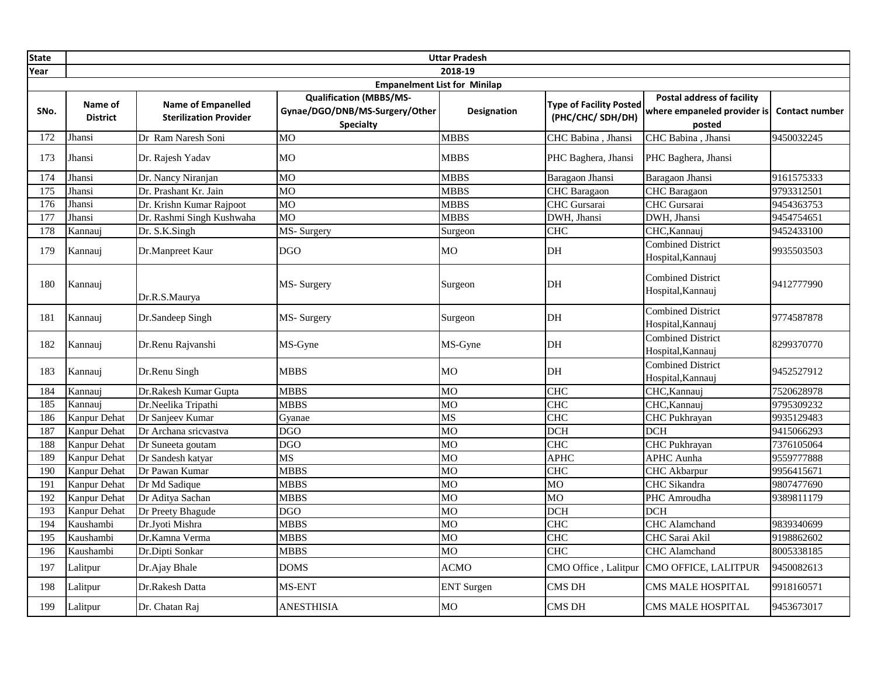| <b>State</b> |                            |                                                            |                                                                                      | <b>Uttar Pradesh</b> |                                                    |                                                                            |                       |  |  |
|--------------|----------------------------|------------------------------------------------------------|--------------------------------------------------------------------------------------|----------------------|----------------------------------------------------|----------------------------------------------------------------------------|-----------------------|--|--|
| Year         |                            | 2018-19                                                    |                                                                                      |                      |                                                    |                                                                            |                       |  |  |
|              |                            |                                                            | <b>Empanelment List for Minilap</b>                                                  |                      |                                                    |                                                                            |                       |  |  |
| SNo.         | Name of<br><b>District</b> | <b>Name of Empanelled</b><br><b>Sterilization Provider</b> | <b>Qualification (MBBS/MS-</b><br>Gynae/DGO/DNB/MS-Surgery/Other<br><b>Specialty</b> | <b>Designation</b>   | <b>Type of Facility Posted</b><br>(PHC/CHC/SDH/DH) | <b>Postal address of facility</b><br>where empaneled provider is<br>posted | <b>Contact number</b> |  |  |
| 172          | Jhansi                     | Dr Ram Naresh Soni                                         | <b>MO</b>                                                                            | <b>MBBS</b>          | CHC Babina, Jhansi                                 | CHC Babina, Jhansi                                                         | 9450032245            |  |  |
| 173          | Jhansi                     | Dr. Rajesh Yadav                                           | <b>MO</b>                                                                            | <b>MBBS</b>          | PHC Baghera, Jhansi                                | PHC Baghera, Jhansi                                                        |                       |  |  |
| 174          | Jhansi                     | Dr. Nancy Niranjan                                         | MO                                                                                   | <b>MBBS</b>          | Baragaon Jhansi                                    | Baragaon Jhansi                                                            | 9161575333            |  |  |
| 175          | Jhansi                     | Dr. Prashant Kr. Jain                                      | MO                                                                                   | <b>MBBS</b>          | <b>CHC</b> Baragaon                                | CHC Baragaon                                                               | 9793312501            |  |  |
| 176          | Jhansi                     | Dr. Krishn Kumar Rajpoot                                   | MO                                                                                   | <b>MBBS</b>          | CHC Gursarai                                       | CHC Gursarai                                                               | 9454363753            |  |  |
| 177          | Jhansi                     | Dr. Rashmi Singh Kushwaha                                  | MO                                                                                   | <b>MBBS</b>          | DWH, Jhansi                                        | DWH, Jhansi                                                                | 9454754651            |  |  |
| 178          | Kannauj                    | Dr. S.K.Singh                                              | MS-Surgery                                                                           | Surgeon              | <b>CHC</b>                                         | CHC, Kannauj                                                               | 9452433100            |  |  |
| 179          | Kannauj                    | Dr.Manpreet Kaur                                           | <b>DGO</b>                                                                           | <b>MO</b>            | DH                                                 | <b>Combined District</b><br>Hospital, Kannauj                              | 9935503503            |  |  |
| 180          | Kannauj                    | Dr.R.S.Maurya                                              | MS- Surgery                                                                          | Surgeon              | DH                                                 | <b>Combined District</b><br>Hospital, Kannauj                              | 9412777990            |  |  |
| 181          | Kannauj                    | Dr.Sandeep Singh                                           | MS-Surgery                                                                           | Surgeon              | DH                                                 | <b>Combined District</b><br>Hospital, Kannauj                              | 9774587878            |  |  |
| 182          | Kannauj                    | Dr.Renu Rajvanshi                                          | MS-Gyne                                                                              | MS-Gyne              | DH                                                 | <b>Combined District</b><br>Hospital, Kannauj                              | 8299370770            |  |  |
| 183          | Kannauj                    | Dr.Renu Singh                                              | <b>MBBS</b>                                                                          | M <sub>O</sub>       | DH                                                 | <b>Combined District</b><br>Hospital, Kannauj                              | 9452527912            |  |  |
| 184          | Kannauj                    | Dr.Rakesh Kumar Gupta                                      | <b>MBBS</b>                                                                          | MO                   | CHC                                                | CHC, Kannauj                                                               | 7520628978            |  |  |
| 185          | Kannaui                    | Dr.Neelika Tripathi                                        | <b>MBBS</b>                                                                          | MO                   | <b>CHC</b>                                         | CHC, Kannauj                                                               | 9795309232            |  |  |
| 186          | <b>Kanpur Dehat</b>        | Dr Sanjeev Kumar                                           | Gyanae                                                                               | MS                   | CHC                                                | <b>CHC</b> Pukhrayan                                                       | 9935129483            |  |  |
| 187          | <b>Kanpur Dehat</b>        | Dr Archana sricvastva                                      | <b>DGO</b>                                                                           | M <sub>O</sub>       | <b>DCH</b>                                         | $\overline{DCH}$                                                           | 9415066293            |  |  |
| 188          | <b>Kanpur Dehat</b>        | Dr Suneeta goutam                                          | <b>DGO</b>                                                                           | <b>MO</b>            | <b>CHC</b>                                         | <b>CHC</b> Pukhrayan                                                       | 7376105064            |  |  |
| 189          | Kanpur Dehat               | Dr Sandesh katyar                                          | <b>MS</b>                                                                            | <b>MO</b>            | <b>APHC</b>                                        | <b>APHC</b> Aunha                                                          | 9559777888            |  |  |
| 190          | <b>Kanpur Dehat</b>        | Dr Pawan Kumar                                             | <b>MBBS</b>                                                                          | <b>MO</b>            | <b>CHC</b>                                         | CHC Akbarpur                                                               | 9956415671            |  |  |
| 191          | <b>Kanpur Dehat</b>        | Dr Md Sadique                                              | <b>MBBS</b>                                                                          | M <sub>O</sub>       | <b>MO</b>                                          | CHC Sikandra                                                               | 9807477690            |  |  |
| 192          | <b>Kanpur Dehat</b>        | Dr Aditya Sachan                                           | <b>MBBS</b>                                                                          | <b>MO</b>            | <b>MO</b>                                          | PHC Amroudha                                                               | 9389811179            |  |  |
| 193          | Kanpur Dehat               | Dr Preety Bhagude                                          | <b>DGO</b>                                                                           | MO                   | <b>DCH</b>                                         | <b>DCH</b>                                                                 |                       |  |  |
| 194          | Kaushambi                  | Dr.Jvoti Mishra                                            | <b>MBBS</b>                                                                          | <b>MO</b>            | <b>CHC</b>                                         | <b>CHC</b> Alamchand                                                       | 9839340699            |  |  |
| 195          | Kaushambi                  | Dr.Kamna Verma                                             | <b>MBBS</b>                                                                          | M <sub>O</sub>       | <b>CHC</b>                                         | CHC Sarai Akil                                                             | 9198862602            |  |  |
| 196          | Kaushambi                  | Dr.Dipti Sonkar                                            | <b>MBBS</b>                                                                          | MO                   | <b>CHC</b>                                         | <b>CHC</b> Alamchand                                                       | 8005338185            |  |  |
| 197          | Lalitpur                   | Dr.Ajay Bhale                                              | <b>DOMS</b>                                                                          | <b>ACMO</b>          |                                                    | CMO Office, Lalitpur CMO OFFICE, LALITPUR                                  | 9450082613            |  |  |
| 198          | Lalitpur                   | Dr.Rakesh Datta                                            | MS-ENT                                                                               | <b>ENT</b> Surgen    | <b>CMS DH</b>                                      | CMS MALE HOSPITAL                                                          | 9918160571            |  |  |
| 199          | Lalitpur                   | Dr. Chatan Raj                                             | <b>ANESTHISIA</b>                                                                    | <b>MO</b>            | CMS DH                                             | <b>CMS MALE HOSPITAL</b>                                                   | 9453673017            |  |  |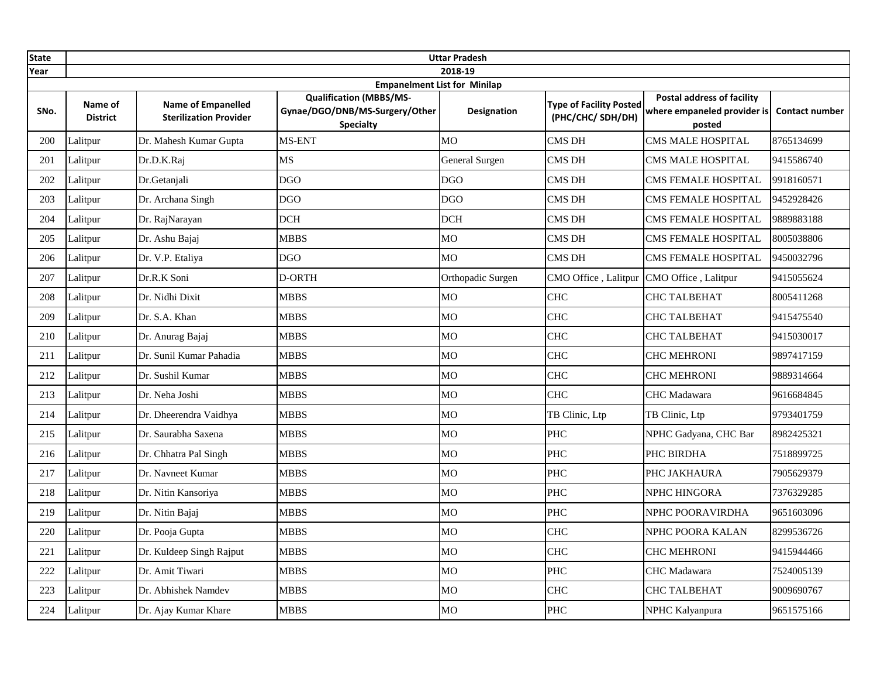| <b>State</b> |                            |                                                            |                                                                                                                             | <b>Uttar Pradesh</b> |                                                    |                                                                            |                       |
|--------------|----------------------------|------------------------------------------------------------|-----------------------------------------------------------------------------------------------------------------------------|----------------------|----------------------------------------------------|----------------------------------------------------------------------------|-----------------------|
| Year         |                            |                                                            |                                                                                                                             | 2018-19              |                                                    |                                                                            |                       |
| SNo.         | Name of<br><b>District</b> | <b>Name of Empanelled</b><br><b>Sterilization Provider</b> | <b>Empanelment List for Minilap</b><br><b>Qualification (MBBS/MS-</b><br>Gynae/DGO/DNB/MS-Surgery/Other<br><b>Specialty</b> | Designation          | <b>Type of Facility Posted</b><br>(PHC/CHC/SDH/DH) | <b>Postal address of facility</b><br>where empaneled provider is<br>posted | <b>Contact number</b> |
| 200          | Lalitpur                   | Dr. Mahesh Kumar Gupta                                     | MS-ENT                                                                                                                      | <b>MO</b>            | CMS DH                                             | CMS MALE HOSPITAL                                                          | 8765134699            |
| 201          | Lalitpur                   | Dr.D.K.Raj                                                 | <b>MS</b>                                                                                                                   | General Surgen       | <b>CMS DH</b>                                      | CMS MALE HOSPITAL                                                          | 9415586740            |
| 202          | Lalitpur                   | Dr.Getanjali                                               | <b>DGO</b>                                                                                                                  | <b>DGO</b>           | CMS DH                                             | CMS FEMALE HOSPITAL                                                        | 9918160571            |
| 203          | Lalitpur                   | Dr. Archana Singh                                          | <b>DGO</b>                                                                                                                  | <b>DGO</b>           | <b>CMS DH</b>                                      | CMS FEMALE HOSPITAL                                                        | 9452928426            |
| 204          | Lalitpur                   | Dr. RajNarayan                                             | <b>DCH</b>                                                                                                                  | <b>DCH</b>           | CMS DH                                             | CMS FEMALE HOSPITAL                                                        | 9889883188            |
| 205          | Lalitpur                   | Dr. Ashu Bajaj                                             | <b>MBBS</b>                                                                                                                 | MO                   | <b>CMS DH</b>                                      | CMS FEMALE HOSPITAL                                                        | 8005038806            |
| 206          | Lalitpur                   | Dr. V.P. Etaliya                                           | <b>DGO</b>                                                                                                                  | MО                   | <b>CMS DH</b>                                      | CMS FEMALE HOSPITAL                                                        | 9450032796            |
| 207          | Lalitpur                   | Dr.R.K Soni                                                | D-ORTH                                                                                                                      | Orthopadic Surgen    | CMO Office, Lalitpur                               | CMO Office, Lalitpur                                                       | 9415055624            |
| 208          | Lalitpur                   | Dr. Nidhi Dixit                                            | <b>MBBS</b>                                                                                                                 | MO                   | <b>CHC</b>                                         | CHC TALBEHAT                                                               | 8005411268            |
| 209          | Lalitpur                   | Dr. S.A. Khan                                              | <b>MBBS</b>                                                                                                                 | MO                   | <b>CHC</b>                                         | CHC TALBEHAT                                                               | 9415475540            |
| 210          | Lalitpur                   | Dr. Anurag Bajaj                                           | <b>MBBS</b>                                                                                                                 | MO                   | <b>CHC</b>                                         | CHC TALBEHAT                                                               | 9415030017            |
| 211          | Lalitpur                   | Dr. Sunil Kumar Pahadia                                    | <b>MBBS</b>                                                                                                                 | МO                   | <b>CHC</b>                                         | CHC MEHRONI                                                                | 9897417159            |
| 212          | Lalitpur                   | Dr. Sushil Kumar                                           | <b>MBBS</b>                                                                                                                 | МO                   | <b>CHC</b>                                         | <b>CHC MEHRONI</b>                                                         | 9889314664            |
| 213          | Lalitpur                   | Dr. Neha Joshi                                             | <b>MBBS</b>                                                                                                                 | МO                   | <b>CHC</b>                                         | <b>CHC</b> Madawara                                                        | 9616684845            |
| 214          | Lalitpur                   | Dr. Dheerendra Vaidhya                                     | <b>MBBS</b>                                                                                                                 | МO                   | TB Clinic, Ltp                                     | TB Clinic, Ltp                                                             | 9793401759            |
| 215          | Lalitpur                   | Dr. Saurabha Saxena                                        | <b>MBBS</b>                                                                                                                 | МO                   | PHC                                                | NPHC Gadyana, CHC Bar                                                      | 8982425321            |
| 216          | Lalitpur                   | Dr. Chhatra Pal Singh                                      | <b>MBBS</b>                                                                                                                 | MO                   | <b>PHC</b>                                         | PHC BIRDHA                                                                 | 7518899725            |
| 217          | Lalitpur                   | Dr. Navneet Kumar                                          | <b>MBBS</b>                                                                                                                 | MO                   | PHC                                                | PHC JAKHAURA                                                               | 7905629379            |
| 218          | Lalitpur                   | Dr. Nitin Kansoriya                                        | <b>MBBS</b>                                                                                                                 | MO                   | PHC                                                | NPHC HINGORA                                                               | 7376329285            |
| 219          | Lalitpur                   | Dr. Nitin Bajaj                                            | <b>MBBS</b>                                                                                                                 | <b>MO</b>            | PHC                                                | NPHC POORAVIRDHA                                                           | 9651603096            |
| 220          | Lalitpur                   | Dr. Pooja Gupta                                            | <b>MBBS</b>                                                                                                                 | МO                   | <b>CHC</b>                                         | NPHC POORA KALAN                                                           | 8299536726            |
| 221          | Lalitpur                   | Dr. Kuldeep Singh Rajput                                   | <b>MBBS</b>                                                                                                                 | МO                   | <b>CHC</b>                                         | CHC MEHRONI                                                                | 9415944466            |
| 222          | Lalitpur                   | Dr. Amit Tiwari                                            | <b>MBBS</b>                                                                                                                 | МO                   | <b>PHC</b>                                         | CHC Madawara                                                               | 7524005139            |
| 223          | Lalitpur                   | Dr. Abhishek Namdev                                        | <b>MBBS</b>                                                                                                                 | MO                   | <b>CHC</b>                                         | CHC TALBEHAT                                                               | 9009690767            |
| 224          | Lalitpur                   | Dr. Ajay Kumar Khare                                       | <b>MBBS</b>                                                                                                                 | MO                   | PHC                                                | NPHC Kalyanpura                                                            | 9651575166            |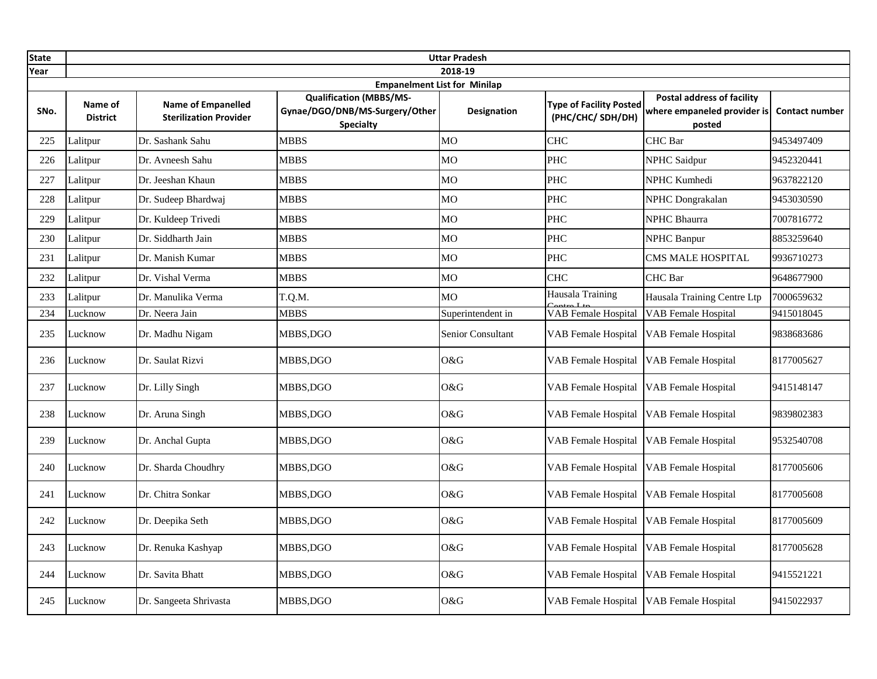| <b>State</b> |                            |                                                            |                                                                                                                             | <b>Uttar Pradesh</b> |                                                    |                                                                            |                       |
|--------------|----------------------------|------------------------------------------------------------|-----------------------------------------------------------------------------------------------------------------------------|----------------------|----------------------------------------------------|----------------------------------------------------------------------------|-----------------------|
| Year         |                            |                                                            |                                                                                                                             | 2018-19              |                                                    |                                                                            |                       |
| SNo.         | Name of<br><b>District</b> | <b>Name of Empanelled</b><br><b>Sterilization Provider</b> | <b>Empanelment List for Minilap</b><br><b>Qualification (MBBS/MS-</b><br>Gynae/DGO/DNB/MS-Surgery/Other<br><b>Specialty</b> | <b>Designation</b>   | <b>Type of Facility Posted</b><br>(PHC/CHC/SDH/DH) | <b>Postal address of facility</b><br>where empaneled provider is<br>posted | <b>Contact number</b> |
| 225          | Lalitpur                   | Dr. Sashank Sahu                                           | <b>MBBS</b>                                                                                                                 | МO                   | <b>CHC</b>                                         | CHC Bar                                                                    | 9453497409            |
| 226          | Lalitpur                   | Dr. Avneesh Sahu                                           | <b>MBBS</b>                                                                                                                 | M <sub>O</sub>       | <b>PHC</b>                                         | <b>NPHC Saidpur</b>                                                        | 9452320441            |
| 227          | Lalitpur                   | Dr. Jeeshan Khaun                                          | <b>MBBS</b>                                                                                                                 | МO                   | <b>PHC</b>                                         | NPHC Kumhedi                                                               | 9637822120            |
| 228          | Lalitpur                   | Dr. Sudeep Bhardwaj                                        | <b>MBBS</b>                                                                                                                 | <b>MO</b>            | <b>PHC</b>                                         | NPHC Dongrakalan                                                           | 9453030590            |
| 229          | Lalitpur                   | Dr. Kuldeep Trivedi                                        | <b>MBBS</b>                                                                                                                 | MO                   | <b>PHC</b>                                         | <b>NPHC Bhaurra</b>                                                        | 7007816772            |
| 230          | Lalitpur                   | Dr. Siddharth Jain                                         | <b>MBBS</b>                                                                                                                 | M <sub>O</sub>       | <b>PHC</b>                                         | <b>NPHC Banpur</b>                                                         | 8853259640            |
| 231          | Lalitpur                   | Dr. Manish Kumar                                           | <b>MBBS</b>                                                                                                                 | MO                   | <b>PHC</b>                                         | <b>CMS MALE HOSPITAL</b>                                                   | 9936710273            |
| 232          | Lalitpur                   | Dr. Vishal Verma                                           | <b>MBBS</b>                                                                                                                 | МO                   | <b>CHC</b>                                         | CHC Bar                                                                    | 9648677900            |
| 233          | Lalitpur                   | Dr. Manulika Verma                                         | T.Q.M.                                                                                                                      | M <sub>O</sub>       | Hausala Training                                   | Hausala Training Centre Ltp                                                | 7000659632            |
| 234          | Lucknow                    | Dr. Neera Jain                                             | <b>MBBS</b>                                                                                                                 | Superintendent in    | <b>VAB</b> Female Hospital                         | <b>VAB</b> Female Hospital                                                 | 9415018045            |
| 235          | Lucknow                    | Dr. Madhu Nigam                                            | MBBS,DGO                                                                                                                    | Senior Consultant    | <b>VAB</b> Female Hospital                         | <b>VAB</b> Female Hospital                                                 | 9838683686            |
| 236          | Lucknow                    | Dr. Saulat Rizvi                                           | MBBS,DGO                                                                                                                    | O&G                  | <b>VAB</b> Female Hospital                         | <b>VAB</b> Female Hospital                                                 | 8177005627            |
| 237          | Lucknow                    | Dr. Lilly Singh                                            | MBBS.DGO                                                                                                                    | O&G                  | <b>VAB</b> Female Hospital                         | <b>VAB</b> Female Hospital                                                 | 9415148147            |
| 238          | Lucknow                    | Dr. Aruna Singh                                            | MBBS,DGO                                                                                                                    | O&G                  | <b>VAB Female Hospital</b>                         | VAB Female Hospital                                                        | 9839802383            |
| 239          | Lucknow                    | Dr. Anchal Gupta                                           | MBBS,DGO                                                                                                                    | O&G                  | <b>VAB Female Hospital</b>                         | <b>VAB</b> Female Hospital                                                 | 9532540708            |
| 240          | Lucknow                    | Dr. Sharda Choudhry                                        | MBBS,DGO                                                                                                                    | O&G                  | <b>VAB</b> Female Hospital                         | <b>VAB</b> Female Hospital                                                 | 8177005606            |
| 241          | Lucknow                    | Dr. Chitra Sonkar                                          | MBBS,DGO                                                                                                                    | O&G                  | VAB Female Hospital                                | VAB Female Hospital                                                        | 8177005608            |
| 242          | Lucknow                    | Dr. Deepika Seth                                           | MBBS,DGO                                                                                                                    | O&G                  | VAB Female Hospital                                | <b>VAB</b> Female Hospital                                                 | 8177005609            |
| 243          | Lucknow                    | Dr. Renuka Kashyap                                         | MBBS,DGO                                                                                                                    | O&G                  | VAB Female Hospital                                | <b>VAB</b> Female Hospital                                                 | 8177005628            |
| 244          | Lucknow                    | Dr. Savita Bhatt                                           | MBBS, DGO                                                                                                                   | O&G                  | <b>VAB Female Hospital</b>                         | <b>VAB</b> Female Hospital                                                 | 9415521221            |
| 245          | Lucknow                    | Dr. Sangeeta Shrivasta                                     | MBBS, DGO                                                                                                                   | O&G                  | VAB Female Hospital VAB Female Hospital            |                                                                            | 9415022937            |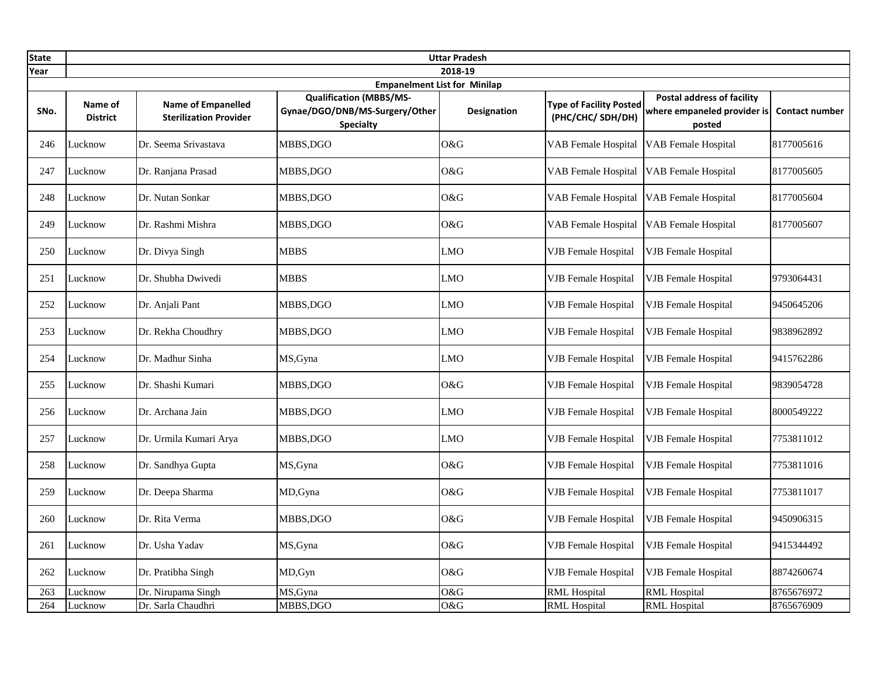| <b>State</b> |                            |                                                            |                                                                                      | <b>Uttar Pradesh</b>                |                                                    |                                                                            |                       |
|--------------|----------------------------|------------------------------------------------------------|--------------------------------------------------------------------------------------|-------------------------------------|----------------------------------------------------|----------------------------------------------------------------------------|-----------------------|
| Year         |                            |                                                            |                                                                                      | 2018-19                             |                                                    |                                                                            |                       |
|              |                            |                                                            |                                                                                      | <b>Empanelment List for Minilap</b> |                                                    |                                                                            |                       |
| SNo.         | Name of<br><b>District</b> | <b>Name of Empanelled</b><br><b>Sterilization Provider</b> | <b>Qualification (MBBS/MS-</b><br>Gynae/DGO/DNB/MS-Surgery/Other<br><b>Specialty</b> | <b>Designation</b>                  | <b>Type of Facility Posted</b><br>(PHC/CHC/SDH/DH) | <b>Postal address of facility</b><br>where empaneled provider is<br>posted | <b>Contact number</b> |
| 246          | Lucknow                    | Dr. Seema Srivastava                                       | MBBS.DGO                                                                             | O&G                                 | <b>VAB Female Hospital</b>                         | <b>VAB</b> Female Hospital                                                 | 8177005616            |
| 247          | Lucknow                    | Dr. Ranjana Prasad                                         | MBBS,DGO                                                                             | O&G                                 | <b>VAB</b> Female Hospital                         | <b>VAB</b> Female Hospital                                                 | 8177005605            |
| 248          | Lucknow                    | Dr. Nutan Sonkar                                           | MBBS.DGO                                                                             | O&G                                 | <b>VAB Female Hospital</b>                         | VAB Female Hospital                                                        | 8177005604            |
| 249          | Lucknow                    | Dr. Rashmi Mishra                                          | MBBS,DGO                                                                             | O&G                                 | <b>VAB Female Hospital</b>                         | <b>VAB Female Hospital</b>                                                 | 8177005607            |
| 250          | Lucknow                    | Dr. Divya Singh                                            | MBBS                                                                                 | <b>LMO</b>                          | <b>VJB</b> Female Hospital                         | <b>VJB</b> Female Hospital                                                 |                       |
| 251          | Lucknow                    | Dr. Shubha Dwivedi                                         | <b>MBBS</b>                                                                          | <b>LMO</b>                          | <b>VJB</b> Female Hospital                         | <b>VJB</b> Female Hospital                                                 | 9793064431            |
| 252          | Lucknow                    | Dr. Anjali Pant                                            | MBBS,DGO                                                                             | LMO                                 | <b>VJB</b> Female Hospital                         | <b>VJB</b> Female Hospital                                                 | 9450645206            |
| 253          | Lucknow                    | Dr. Rekha Choudhry                                         | MBBS,DGO                                                                             | LMO                                 | <b>VJB</b> Female Hospital                         | <b>VJB</b> Female Hospital                                                 | 9838962892            |
| 254          | Lucknow                    | Dr. Madhur Sinha                                           | MS, Gyna                                                                             | LMO                                 | <b>VJB</b> Female Hospital                         | <b>VJB</b> Female Hospital                                                 | 9415762286            |
| 255          | Lucknow                    | Dr. Shashi Kumari                                          | MBBS, DGO                                                                            | O&G                                 | <b>VJB</b> Female Hospital                         | <b>VJB</b> Female Hospital                                                 | 9839054728            |
| 256          | Lucknow                    | Dr. Archana Jain                                           | MBBS,DGO                                                                             | <b>LMO</b>                          | <b>VJB</b> Female Hospital                         | <b>VJB</b> Female Hospital                                                 | 8000549222            |
| 257          | Lucknow                    | Dr. Urmila Kumari Arya                                     | MBBS,DGO                                                                             | <b>LMO</b>                          | <b>VJB</b> Female Hospital                         | <b>VJB</b> Female Hospital                                                 | 7753811012            |
| 258          | Lucknow                    | Dr. Sandhya Gupta                                          | MS, Gyna                                                                             | O&G                                 | <b>VJB</b> Female Hospital                         | <b>VJB</b> Female Hospital                                                 | 7753811016            |
| 259          | Lucknow                    | Dr. Deepa Sharma                                           | MD, Gyna                                                                             | O&G                                 | <b>VJB</b> Female Hospital                         | <b>VJB</b> Female Hospital                                                 | 7753811017            |
| 260          | Lucknow                    | Dr. Rita Verma                                             | MBBS, DGO                                                                            | O&G                                 | <b>VJB</b> Female Hospital                         | <b>VJB</b> Female Hospital                                                 | 9450906315            |
| 261          | Lucknow                    | Dr. Usha Yadav                                             | MS, Gyna                                                                             | O&G                                 | <b>VJB</b> Female Hospital                         | <b>VJB</b> Female Hospital                                                 | 9415344492            |
| 262          | Lucknow                    | Dr. Pratibha Singh                                         | MD, Gyn                                                                              | O&G                                 | <b>VJB</b> Female Hospital                         | <b>VJB Female Hospital</b>                                                 | 8874260674            |
| 263          | Lucknow                    | Dr. Nirupama Singh                                         | MS, Gyna                                                                             | O&G                                 | <b>RML Hospital</b>                                | <b>RML Hospital</b>                                                        | 8765676972            |
| 264          | Lucknow                    | Dr. Sarla Chaudhri                                         | MBBS,DGO                                                                             | O&G                                 | <b>RML Hospital</b>                                | <b>RML Hospital</b>                                                        | 8765676909            |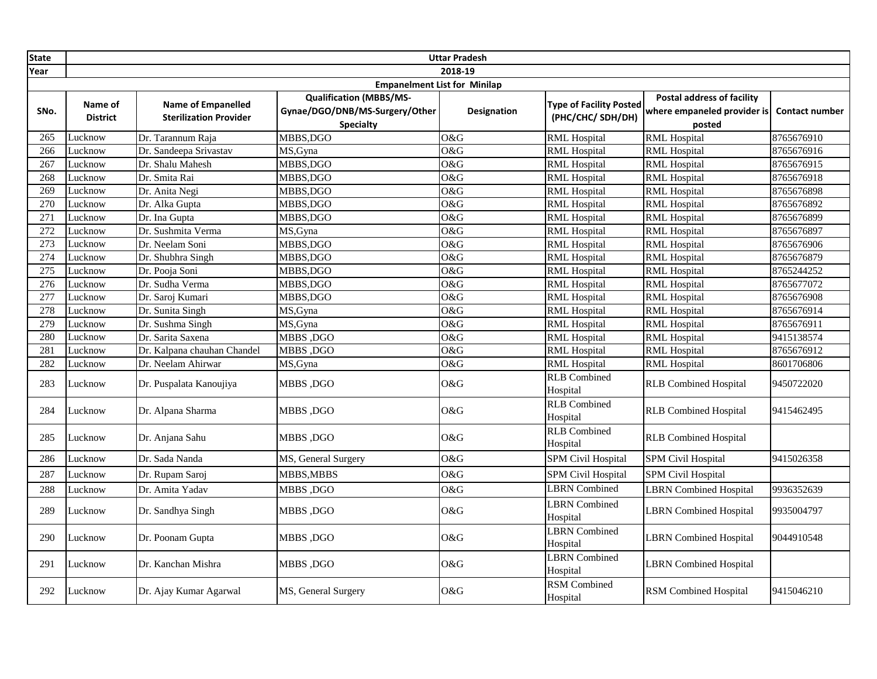| <b>State</b>     |                                     |                                                            |                                                                                      | <b>Uttar Pradesh</b> |                                                    |                                                                            |                       |  |  |  |
|------------------|-------------------------------------|------------------------------------------------------------|--------------------------------------------------------------------------------------|----------------------|----------------------------------------------------|----------------------------------------------------------------------------|-----------------------|--|--|--|
| Year             |                                     |                                                            |                                                                                      | 2018-19              |                                                    |                                                                            |                       |  |  |  |
|                  | <b>Empanelment List for Minilap</b> |                                                            |                                                                                      |                      |                                                    |                                                                            |                       |  |  |  |
| SNo.             | Name of<br><b>District</b>          | <b>Name of Empanelled</b><br><b>Sterilization Provider</b> | <b>Qualification (MBBS/MS-</b><br>Gynae/DGO/DNB/MS-Surgery/Other<br><b>Specialty</b> | Designation          | <b>Type of Facility Posted</b><br>(PHC/CHC/SDH/DH) | <b>Postal address of facility</b><br>where empaneled provider is<br>posted | <b>Contact number</b> |  |  |  |
| 265              | Lucknow                             | Dr. Tarannum Raja                                          | MBBS,DGO                                                                             | O&G                  | <b>RML Hospital</b>                                | <b>RML</b> Hospital                                                        | 8765676910            |  |  |  |
| 266              | Lucknow                             | Dr. Sandeepa Srivastav                                     | MS, Gyna                                                                             | O&G                  | <b>RML</b> Hospital                                | <b>RML</b> Hospital                                                        | 8765676916            |  |  |  |
| 267              | Lucknow                             | Dr. Shalu Mahesh                                           | MBBS,DGO                                                                             | O&G                  | <b>RML Hospital</b>                                | <b>RML</b> Hospital                                                        | 8765676915            |  |  |  |
| 268              | Lucknow                             | Dr. Smita Rai                                              | MBBS,DGO                                                                             | O&G                  | <b>RML</b> Hospital                                | <b>RML</b> Hospital                                                        | 8765676918            |  |  |  |
| 269              | Lucknow                             | Dr. Anita Negi                                             | MBBS,DGO                                                                             | O&G                  | <b>RML Hospital</b>                                | <b>RML</b> Hospital                                                        | 8765676898            |  |  |  |
| 270              | Lucknow                             | Dr. Alka Gupta                                             | MBBS,DGO                                                                             | O&G                  | <b>RML Hospital</b>                                | <b>RML</b> Hospital                                                        | 8765676892            |  |  |  |
| 271              | Lucknow                             | Dr. Ina Gupta                                              | MBBS,DGO                                                                             | O&G                  | <b>RML Hospital</b>                                | <b>RML</b> Hospital                                                        | 8765676899            |  |  |  |
| 272              | Lucknow                             | Dr. Sushmita Verma                                         | MS, Gyna                                                                             | O&G                  | <b>RML Hospital</b>                                | <b>RML</b> Hospital                                                        | 8765676897            |  |  |  |
| 273              | Lucknow                             | Dr. Neelam Soni                                            | MBBS,DGO                                                                             | O&G                  | <b>RML Hospital</b>                                | <b>RML</b> Hospital                                                        | 8765676906            |  |  |  |
| 274              | Lucknow                             | Dr. Shubhra Singh                                          | MBBS, DGO                                                                            | O&G                  | <b>RML Hospital</b>                                | <b>RML</b> Hospital                                                        | 8765676879            |  |  |  |
| $\overline{275}$ | Lucknow                             | Dr. Pooja Soni                                             | MBBS,DGO                                                                             | O&G                  | <b>RML Hospital</b>                                | <b>RML</b> Hospital                                                        | 8765244252            |  |  |  |
| 276              | Lucknow                             | Dr. Sudha Verma                                            | MBBS,DGO                                                                             | O&G                  | <b>RML Hospital</b>                                | <b>RML</b> Hospital                                                        | 8765677072            |  |  |  |
| 277              | Lucknow                             | Dr. Saroj Kumari                                           | MBBS.DGO                                                                             | O&G                  | <b>RML Hospital</b>                                | <b>RML</b> Hospital                                                        | 8765676908            |  |  |  |
| 278              | Lucknow                             | Dr. Sunita Singh                                           | MS, Gyna                                                                             | O&G                  | <b>RML Hospital</b>                                | <b>RML Hospital</b>                                                        | 8765676914            |  |  |  |
| 279              | Lucknow                             | Dr. Sushma Singh                                           | MS, Gyna                                                                             | O&G                  | <b>RML Hospital</b>                                | <b>RML Hospital</b>                                                        | 8765676911            |  |  |  |
| 280              | Lucknow                             | Dr. Sarita Saxena                                          | <b>MBBS</b> , DGO                                                                    | O&G                  | <b>RML Hospital</b>                                | <b>RML</b> Hospital                                                        | 9415138574            |  |  |  |
| 281              | Lucknow                             | Dr. Kalpana chauhan Chandel                                | MBBS, DGO                                                                            | O&G                  | <b>RML</b> Hospital                                | <b>RML</b> Hospital                                                        | 8765676912            |  |  |  |
| 282              | Lucknow                             | Dr. Neelam Ahirwar                                         | MS, Gyna                                                                             | O&G                  | <b>RML Hospital</b>                                | <b>RML</b> Hospital                                                        | 8601706806            |  |  |  |
| 283              | Lucknow                             | Dr. Puspalata Kanoujiya                                    | <b>MBBS, DGO</b>                                                                     | O&G                  | <b>RLB</b> Combined<br>Hospital                    | <b>RLB Combined Hospital</b>                                               | 9450722020            |  |  |  |
| 284              | Lucknow                             | Dr. Alpana Sharma                                          | <b>MBBS .DGO</b>                                                                     | O&G                  | <b>RLB</b> Combined<br>Hospital                    | <b>RLB</b> Combined Hospital                                               | 9415462495            |  |  |  |
| 285              | Lucknow                             | Dr. Anjana Sahu                                            | <b>MBBS</b> ,DGO                                                                     | O&G                  | <b>RLB</b> Combined<br>Hospital                    | <b>RLB</b> Combined Hospital                                               |                       |  |  |  |
| 286              | Lucknow                             | Dr. Sada Nanda                                             | MS, General Surgery                                                                  | O&G                  | <b>SPM Civil Hospital</b>                          | SPM Civil Hospital                                                         | 9415026358            |  |  |  |
| 287              | Lucknow                             | Dr. Rupam Saroj                                            | MBBS, MBBS                                                                           | O&G                  | <b>SPM Civil Hospital</b>                          | <b>SPM Civil Hospital</b>                                                  |                       |  |  |  |
| 288              | Lucknow                             | Dr. Amita Yadav                                            | <b>MBBS, DGO</b>                                                                     | O&G                  | <b>LBRN</b> Combined                               | <b>LBRN</b> Combined Hospital                                              | 9936352639            |  |  |  |
| 289              | Lucknow                             | Dr. Sandhya Singh                                          | <b>MBBS</b> , DGO                                                                    | O&G                  | <b>LBRN</b> Combined<br>Hospital                   | <b>LBRN</b> Combined Hospital                                              | 9935004797            |  |  |  |
| 290              | Lucknow                             | Dr. Poonam Gupta                                           | <b>MBBS</b> ,DGO                                                                     | O&G                  | <b>LBRN</b> Combined<br>Hospital                   | <b>LBRN</b> Combined Hospital                                              | 9044910548            |  |  |  |
| 291              | Lucknow                             | Dr. Kanchan Mishra                                         | MBBS, DGO                                                                            | O&G                  | <b>LBRN</b> Combined<br>Hospital                   | <b>LBRN</b> Combined Hospital                                              |                       |  |  |  |
| 292              | Lucknow                             | Dr. Ajay Kumar Agarwal                                     | MS, General Surgery                                                                  | O&G                  | <b>RSM</b> Combined<br>Hospital                    | <b>RSM Combined Hospital</b>                                               | 9415046210            |  |  |  |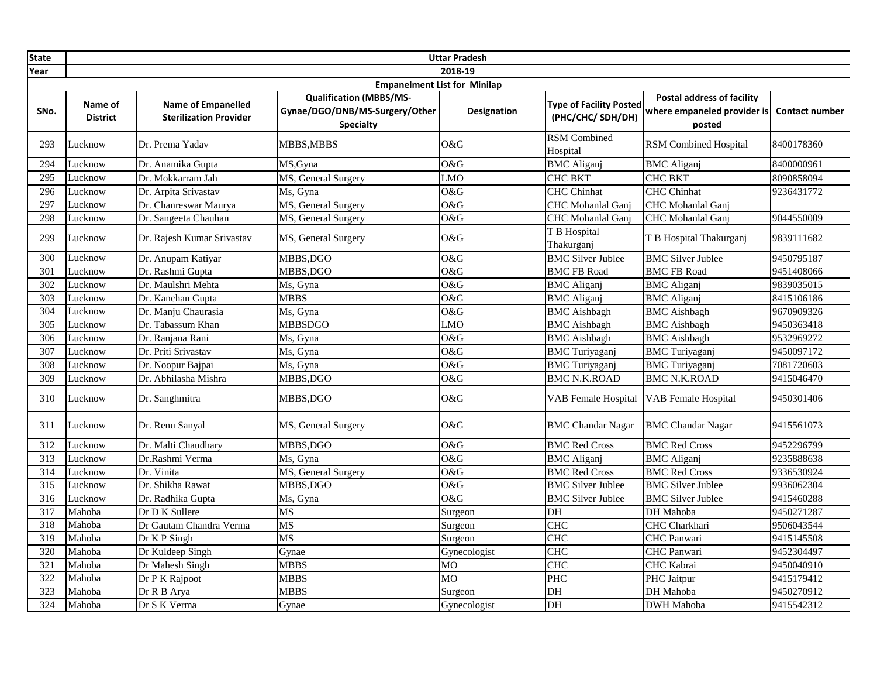| <b>State</b>     |                            |                                                            |                                                                                      | <b>Uttar Pradesh</b> |                                                    |                                                                            |                       |
|------------------|----------------------------|------------------------------------------------------------|--------------------------------------------------------------------------------------|----------------------|----------------------------------------------------|----------------------------------------------------------------------------|-----------------------|
| Year             |                            |                                                            |                                                                                      | 2018-19              |                                                    |                                                                            |                       |
|                  |                            |                                                            | <b>Empanelment List for Minilap</b>                                                  |                      |                                                    |                                                                            |                       |
| SNo.             | Name of<br><b>District</b> | <b>Name of Empanelled</b><br><b>Sterilization Provider</b> | <b>Qualification (MBBS/MS-</b><br>Gynae/DGO/DNB/MS-Surgery/Other<br><b>Specialty</b> | <b>Designation</b>   | <b>Type of Facility Posted</b><br>(PHC/CHC/SDH/DH) | <b>Postal address of facility</b><br>where empaneled provider is<br>posted | <b>Contact number</b> |
| 293              | Lucknow                    | Dr. Prema Yadav                                            | MBBS.MBBS                                                                            | O&G                  | <b>RSM Combined</b><br>Hospital                    | <b>RSM Combined Hospital</b>                                               | 8400178360            |
| 294              | Lucknow                    | Dr. Anamika Gupta                                          | MS, Gyna                                                                             | O&G                  | <b>BMC</b> Aliganj                                 | <b>BMC</b> Aliganj                                                         | 8400000961            |
| 295              | Lucknow                    | Dr. Mokkarram Jah                                          | MS, General Surgery                                                                  | <b>LMO</b>           | <b>CHC BKT</b>                                     | <b>CHC BKT</b>                                                             | 8090858094            |
| 296              | Lucknow                    | Dr. Arpita Srivastav                                       | Ms, Gyna                                                                             | O&G                  | <b>CHC</b> Chinhat                                 | <b>CHC</b> Chinhat                                                         | 9236431772            |
| 297              | Lucknow                    | Dr. Chanreswar Maurya                                      | MS, General Surgery                                                                  | O&G                  | CHC Mohanlal Ganj                                  | <b>CHC</b> Mohanlal Ganj                                                   |                       |
| 298              | Lucknow                    | Dr. Sangeeta Chauhan                                       | MS, General Surgery                                                                  | O&G                  | CHC Mohanlal Ganj                                  | CHC Mohanlal Ganj                                                          | 9044550009            |
| 299              | Lucknow                    | Dr. Rajesh Kumar Srivastav                                 | MS, General Surgery                                                                  | O&G                  | T B Hospital<br>Thakurganj                         | T B Hospital Thakurganj                                                    | 9839111682            |
| 300              | Lucknow                    | Dr. Anupam Katiyar                                         | MBBS,DGO                                                                             | O&G                  | <b>BMC</b> Silver Jublee                           | <b>BMC Silver Jublee</b>                                                   | 9450795187            |
| 301              | Lucknow                    | Dr. Rashmi Gupta                                           | MBBS,DGO                                                                             | 0&G                  | <b>BMC FB Road</b>                                 | <b>BMC FB Road</b>                                                         | 9451408066            |
| $\overline{302}$ | Lucknow                    | Dr. Maulshri Mehta                                         | Ms, Gyna                                                                             | O&G                  | <b>BMC</b> Aliganj                                 | <b>BMC</b> Aliganj                                                         | 9839035015            |
| 303              | Lucknow                    | Dr. Kanchan Gupta                                          | <b>MBBS</b>                                                                          | O&G                  | <b>BMC</b> Aliganj                                 | <b>BMC</b> Aliganj                                                         | 8415106186            |
| 304              | Lucknow                    | Dr. Manju Chaurasia                                        | Ms, Gyna                                                                             | O&G                  | <b>BMC</b> Aishbagh                                | <b>BMC</b> Aishbagh                                                        | 9670909326            |
| $\overline{305}$ | Lucknow                    | Dr. Tabassum Khan                                          | <b>MBBSDGO</b>                                                                       | <b>LMO</b>           | <b>BMC</b> Aishbagh                                | <b>BMC</b> Aishbagh                                                        | 9450363418            |
| 306              | Lucknow                    | Dr. Ranjana Rani                                           | Ms, Gyna                                                                             | O&G                  | <b>BMC</b> Aishbagh                                | <b>BMC</b> Aishbagh                                                        | 9532969272            |
| 307              | Lucknow                    | Dr. Priti Srivastav                                        | Ms, Gyna                                                                             | O&G                  | <b>BMC</b> Turiyaganj                              | <b>BMC</b> Turiyaganj                                                      | 9450097172            |
| 308              | Lucknow                    | Dr. Noopur Bajpai                                          | Ms, Gyna                                                                             | O&G                  | <b>BMC</b> Turiyaganj                              | <b>BMC</b> Turiyaganj                                                      | 7081720603            |
| 309              | Lucknow                    | Dr. Abhilasha Mishra                                       | MBBS.DGO                                                                             | 0&G                  | <b>BMC N.K.ROAD</b>                                | <b>BMC N.K.ROAD</b>                                                        | 9415046470            |
| 310              | Lucknow                    | Dr. Sanghmitra                                             | MBBS,DGO                                                                             | O&G                  | <b>VAB Female Hospital</b>                         | <b>VAB</b> Female Hospital                                                 | 9450301406            |
| 311              | Lucknow                    | Dr. Renu Sanyal                                            | MS, General Surgery                                                                  | O&G                  | <b>BMC</b> Chandar Nagar                           | <b>BMC</b> Chandar Nagar                                                   | 9415561073            |
| 312              | Lucknow                    | Dr. Malti Chaudhary                                        | MBBS,DGO                                                                             | O&G                  | <b>BMC Red Cross</b>                               | <b>BMC Red Cross</b>                                                       | 9452296799            |
| 313              | Lucknow                    | Dr.Rashmi Verma                                            | Ms, Gyna                                                                             | O&G                  | <b>BMC</b> Aliganj                                 | <b>BMC</b> Aliganj                                                         | 9235888638            |
| 314              | Lucknow                    | Dr. Vinita                                                 | MS, General Surgery                                                                  | O&G                  | <b>BMC Red Cross</b>                               | <b>BMC</b> Red Cross                                                       | 9336530924            |
| 315              | Lucknow                    | Dr. Shikha Rawat                                           | MBBS, DGO                                                                            | O&G                  | <b>BMC</b> Silver Jublee                           | <b>BMC Silver Jublee</b>                                                   | 9936062304            |
| 316              | Lucknow                    | Dr. Radhika Gupta                                          | Ms, Gyna                                                                             | O&G                  | <b>BMC Silver Jublee</b>                           | <b>BMC Silver Jublee</b>                                                   | 9415460288            |
| 317              | Mahoba                     | Dr D K Sullere                                             | MS                                                                                   | Surgeon              | DH                                                 | DH Mahoba                                                                  | 9450271287            |
| 318              | Mahoba                     | Dr Gautam Chandra Verma                                    | <b>MS</b>                                                                            | Surgeon              | <b>CHC</b>                                         | CHC Charkhari                                                              | 9506043544            |
| 319              | Mahoba                     | Dr K P Singh                                               | MS                                                                                   | Surgeon              | <b>CHC</b>                                         | CHC Panwari                                                                | 9415145508            |
| 320              | Mahoba                     | Dr Kuldeep Singh                                           | Gynae                                                                                | Gynecologist         | <b>CHC</b>                                         | <b>CHC</b> Panwari                                                         | 9452304497            |
| 321              | Mahoba                     | Dr Mahesh Singh                                            | <b>MBBS</b>                                                                          | M <sub>O</sub>       | CHC                                                | CHC Kabrai                                                                 | 9450040910            |
| 322              | Mahoba                     | Dr P K Rajpoot                                             | <b>MBBS</b>                                                                          | MO                   | PHC                                                | PHC Jaitpur                                                                | 9415179412            |
| 323              | Mahoba                     | Dr R B Arya                                                | <b>MBBS</b>                                                                          | Surgeon              | DH                                                 | DH Mahoba                                                                  | 9450270912            |
| 324              | Mahoba                     | Dr S K Verma                                               | Gynae                                                                                | Gynecologist         | DH                                                 | <b>DWH</b> Mahoba                                                          | 9415542312            |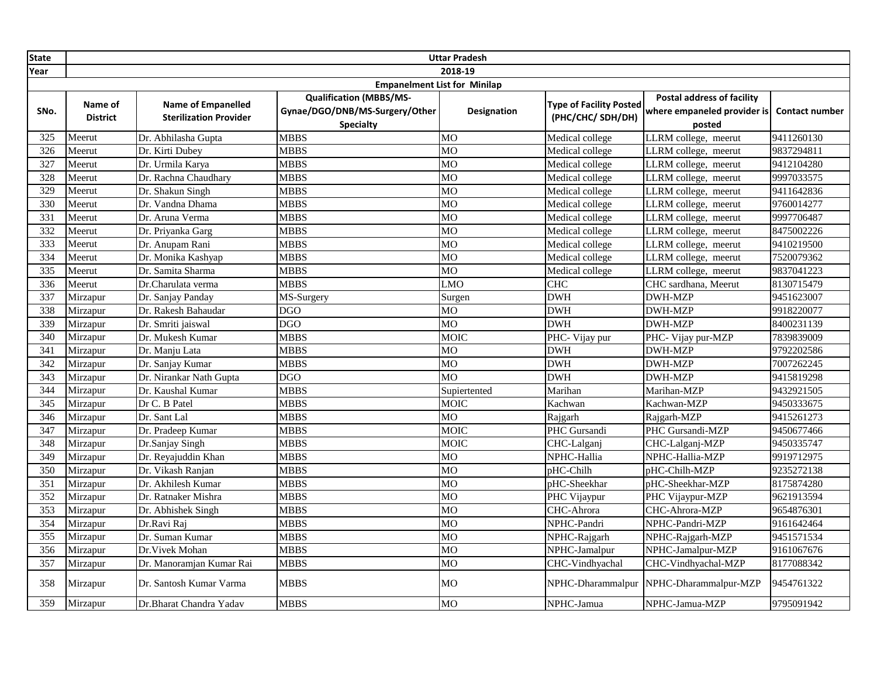| <b>State</b> |                                     | <b>Uttar Pradesh</b>                                       |                                                                                      |                    |                                                     |                                                                            |                       |  |  |
|--------------|-------------------------------------|------------------------------------------------------------|--------------------------------------------------------------------------------------|--------------------|-----------------------------------------------------|----------------------------------------------------------------------------|-----------------------|--|--|
| Year         | 2018-19                             |                                                            |                                                                                      |                    |                                                     |                                                                            |                       |  |  |
|              | <b>Empanelment List for Minilap</b> |                                                            |                                                                                      |                    |                                                     |                                                                            |                       |  |  |
| SNo.         | Name of<br><b>District</b>          | <b>Name of Empanelled</b><br><b>Sterilization Provider</b> | <b>Qualification (MBBS/MS-</b><br>Gynae/DGO/DNB/MS-Surgery/Other<br><b>Specialty</b> | <b>Designation</b> | <b>Type of Facility Posted</b><br>(PHC/CHC/ SDH/DH) | <b>Postal address of facility</b><br>where empaneled provider is<br>posted | <b>Contact number</b> |  |  |
| 325          | Meerut                              | Dr. Abhilasha Gupta                                        | <b>MBBS</b>                                                                          | <b>MO</b>          | Medical college                                     | LLRM college, meerut                                                       | 9411260130            |  |  |
| 326          | Meerut                              | Dr. Kirti Dubey                                            | <b>MBBS</b>                                                                          | M <sub>O</sub>     | Medical college                                     | LLRM college, meerut                                                       | 9837294811            |  |  |
| 327          | Meerut                              | Dr. Urmila Karya                                           | <b>MBBS</b>                                                                          | MO                 | Medical college                                     | LLRM college, meerut                                                       | 9412104280            |  |  |
| 328          | Meerut                              | Dr. Rachna Chaudhary                                       | <b>MBBS</b>                                                                          | MO                 | Medical college                                     | LLRM college, meerut                                                       | 9997033575            |  |  |
| 329          | Meerut                              | Dr. Shakun Singh                                           | <b>MBBS</b>                                                                          | <b>MO</b>          | Medical college                                     | LLRM college, meerut                                                       | 9411642836            |  |  |
| 330          | Meerut                              | Dr. Vandna Dhama                                           | <b>MBBS</b>                                                                          | M <sub>O</sub>     | Medical college                                     | LLRM college, meerut                                                       | 9760014277            |  |  |
| 331          | Meerut                              | Dr. Aruna Verma                                            | <b>MBBS</b>                                                                          | <b>MO</b>          | Medical college                                     | LLRM college, meerut                                                       | 9997706487            |  |  |
| 332          | Meerut                              | Dr. Priyanka Garg                                          | <b>MBBS</b>                                                                          | M <sub>O</sub>     | Medical college                                     | LLRM college, meerut                                                       | 8475002226            |  |  |
| 333          | Meerut                              | Dr. Anupam Rani                                            | <b>MBBS</b>                                                                          | <b>MO</b>          | Medical college                                     | LLRM college, meerut                                                       | 9410219500            |  |  |
| 334          | Meerut                              | Dr. Monika Kashyap                                         | <b>MBBS</b>                                                                          | <b>MO</b>          | Medical college                                     | LLRM college, meerut                                                       | 7520079362            |  |  |
| 335          | Meerut                              | Dr. Samita Sharma                                          | <b>MBBS</b>                                                                          | M <sub>O</sub>     | Medical college                                     | LLRM college, meerut                                                       | 9837041223            |  |  |
| 336          | Meerut                              | Dr.Charulata verma                                         | <b>MBBS</b>                                                                          | LMO                | <b>CHC</b>                                          | CHC sardhana, Meerut                                                       | 8130715479            |  |  |
| 337          | Mirzapur                            | Dr. Sanjay Panday                                          | MS-Surgery                                                                           | Surgen             | <b>DWH</b>                                          | <b>DWH-MZP</b>                                                             | 9451623007            |  |  |
| 338          | Mirzapur                            | Dr. Rakesh Bahaudar                                        | <b>DGO</b>                                                                           | MO                 | <b>DWH</b>                                          | <b>DWH-MZP</b>                                                             | 9918220077            |  |  |
| 339          | Mirzapur                            | Dr. Smriti jaiswal                                         | <b>DGO</b>                                                                           | <b>MO</b>          | <b>DWH</b>                                          | <b>DWH-MZP</b>                                                             | 8400231139            |  |  |
| 340          | Mirzapur                            | Dr. Mukesh Kumar                                           | <b>MBBS</b>                                                                          | <b>MOIC</b>        | PHC- Vijay pur                                      | PHC- Vijay pur-MZP                                                         | 7839839009            |  |  |
| 341          | Mirzapur                            | Dr. Manju Lata                                             | <b>MBBS</b>                                                                          | MO                 | <b>DWH</b>                                          | <b>DWH-MZP</b>                                                             | 9792202586            |  |  |
| 342          | Mirzapur                            | Dr. Sanjay Kumar                                           | <b>MBBS</b>                                                                          | <b>MO</b>          | <b>DWH</b>                                          | <b>DWH-MZP</b>                                                             | 7007262245            |  |  |
| 343          | Mirzapur                            | Dr. Nirankar Nath Gupta                                    | <b>DGO</b>                                                                           | <b>MO</b>          | <b>DWH</b>                                          | <b>DWH-MZP</b>                                                             | 9415819298            |  |  |
| 344          | Mirzapur                            | Dr. Kaushal Kumar                                          | <b>MBBS</b>                                                                          | Supiertented       | Marihan                                             | Marihan-MZP                                                                | 9432921505            |  |  |
| 345          | Mirzapur                            | Dr C. B Patel                                              | <b>MBBS</b>                                                                          | MOIC               | Kachwan                                             | Kachwan-MZP                                                                | 9450333675            |  |  |
| 346          | Mirzapur                            | Dr. Sant Lal                                               | <b>MBBS</b>                                                                          | <b>MO</b>          | Rajgarh                                             | Rajgarh-MZP                                                                | 9415261273            |  |  |
| 347          | Mirzapur                            | Dr. Pradeep Kumar                                          | <b>MBBS</b>                                                                          | <b>MOIC</b>        | PHC Gursandi                                        | PHC Gursandi-MZP                                                           | 9450677466            |  |  |
| 348          | Mirzapur                            | Dr.Sanjay Singh                                            | <b>MBBS</b>                                                                          | <b>MOIC</b>        | CHC-Lalganj                                         | CHC-Lalganj-MZP                                                            | 9450335747            |  |  |
| 349          | Mirzapur                            | Dr. Reyajuddin Khan                                        | <b>MBBS</b>                                                                          | <b>MO</b>          | NPHC-Hallia                                         | NPHC-Hallia-MZP                                                            | 9919712975            |  |  |
| 350          | Mirzapur                            | Dr. Vikash Ranjan                                          | <b>MBBS</b>                                                                          | M <sub>O</sub>     | pHC-Chilh                                           | pHC-Chilh-MZP                                                              | 9235272138            |  |  |
| 351          | Mirzapur                            | Dr. Akhilesh Kumar                                         | <b>MBBS</b>                                                                          | <b>MO</b>          | pHC-Sheekhar                                        | pHC-Sheekhar-MZP                                                           | 8175874280            |  |  |
| 352          | Mirzapur                            | Dr. Ratnaker Mishra                                        | <b>MBBS</b>                                                                          | <b>MO</b>          | PHC Vijaypur                                        | PHC Vijaypur-MZP                                                           | 9621913594            |  |  |
| 353          | Mirzapur                            | Dr. Abhishek Singh                                         | <b>MBBS</b>                                                                          | MO                 | CHC-Ahrora                                          | CHC-Ahrora-MZP                                                             | 9654876301            |  |  |
| 354          | Mirzapur                            | Dr.Ravi Raj                                                | <b>MBBS</b>                                                                          | <b>MO</b>          | NPHC-Pandri                                         | NPHC-Pandri-MZP                                                            | 9161642464            |  |  |
| 355          | Mirzapur                            | Dr. Suman Kumar                                            | <b>MBBS</b>                                                                          | MO                 | NPHC-Rajgarh                                        | NPHC-Rajgarh-MZP                                                           | 9451571534            |  |  |
| 356          | Mirzapur                            | Dr. Vivek Mohan                                            | <b>MBBS</b>                                                                          | <b>MO</b>          | NPHC-Jamalpur                                       | NPHC-Jamalpur-MZP                                                          | 9161067676            |  |  |
| 357          | Mirzapur                            | Dr. Manoramjan Kumar Rai                                   | <b>MBBS</b>                                                                          | M <sub>O</sub>     | CHC-Vindhyachal                                     | CHC-Vindhyachal-MZP                                                        | 8177088342            |  |  |
| 358          | Mirzapur                            | Dr. Santosh Kumar Varma                                    | <b>MBBS</b>                                                                          | MO                 | NPHC-Dharammalpur                                   | NPHC-Dharammalpur-MZP                                                      | 9454761322            |  |  |
| 359          | Mirzapur                            | Dr.Bharat Chandra Yadav                                    | <b>MBBS</b>                                                                          | <b>MO</b>          | NPHC-Jamua                                          | NPHC-Jamua-MZP                                                             | 9795091942            |  |  |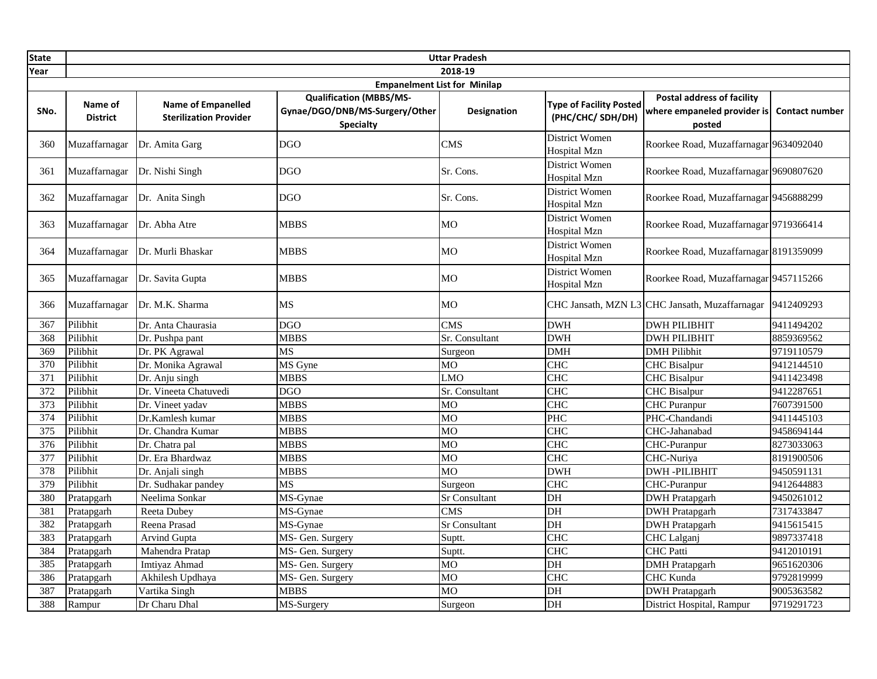| <b>State</b> | <b>Uttar Pradesh</b>       |                                                            |                                                                                      |                        |                                                    |                                                                            |                       |  |
|--------------|----------------------------|------------------------------------------------------------|--------------------------------------------------------------------------------------|------------------------|----------------------------------------------------|----------------------------------------------------------------------------|-----------------------|--|
| Year         | 2018-19                    |                                                            |                                                                                      |                        |                                                    |                                                                            |                       |  |
|              |                            |                                                            | <b>Empanelment List for Minilap</b>                                                  |                        |                                                    |                                                                            |                       |  |
| SNo.         | Name of<br><b>District</b> | <b>Name of Empanelled</b><br><b>Sterilization Provider</b> | <b>Qualification (MBBS/MS-</b><br>Gynae/DGO/DNB/MS-Surgery/Other<br><b>Specialty</b> | Designation            | <b>Type of Facility Posted</b><br>(PHC/CHC/SDH/DH) | <b>Postal address of facility</b><br>where empaneled provider is<br>posted | <b>Contact number</b> |  |
| 360          | Muzaffarnagar              | Dr. Amita Garg                                             | <b>DGO</b>                                                                           | CMS                    | District Women<br><b>Hospital Mzn</b>              | Roorkee Road, Muzaffarnagar 9634092040                                     |                       |  |
| 361          | Muzaffarnagar              | Dr. Nishi Singh                                            | <b>DGO</b>                                                                           | Sr. Cons.              | District Women<br><b>Hospital Mzn</b>              | Roorkee Road, Muzaffarnagar 9690807620                                     |                       |  |
| 362          | Muzaffarnagar              | Dr. Anita Singh                                            | <b>DGO</b>                                                                           | Sr. Cons.              | District Women<br>Hospital Mzn                     | Roorkee Road, Muzaffarnagar 9456888299                                     |                       |  |
| 363          | Muzaffarnagar              | Dr. Abha Atre                                              | <b>MBBS</b>                                                                          | MO                     | District Women<br><b>Hospital Mzn</b>              | Roorkee Road, Muzaffarnagar 9719366414                                     |                       |  |
| 364          | Muzaffarnagar              | Dr. Murli Bhaskar                                          | <b>MBBS</b>                                                                          | <b>MO</b>              | District Women<br><b>Hospital Mzn</b>              | Roorkee Road, Muzaffarnagar 8191359099                                     |                       |  |
| 365          | Muzaffarnagar              | Dr. Savita Gupta                                           | <b>MBBS</b>                                                                          | MO                     | District Women<br><b>Hospital Mzn</b>              | Roorkee Road, Muzaffarnagar 9457115266                                     |                       |  |
| 366          | Muzaffarnagar              | Dr. M.K. Sharma                                            | MS                                                                                   | МO                     |                                                    | CHC Jansath, MZN L3 CHC Jansath, Muzaffarnagar                             | 9412409293            |  |
| 367          | Pilibhit                   | Dr. Anta Chaurasia                                         | <b>DGO</b>                                                                           | <b>CMS</b>             | <b>DWH</b>                                         | <b>DWH PILIBHIT</b>                                                        | 9411494202            |  |
| 368          | Pilibhit                   | Dr. Pushpa pant                                            | <b>MBBS</b>                                                                          | Sr. Consultant         | <b>DWH</b>                                         | <b>DWH PILIBHIT</b>                                                        | 8859369562            |  |
| 369          | Pilibhit                   | Dr. PK Agrawal                                             | <b>MS</b>                                                                            | Surgeon                | DMH                                                | <b>DMH</b> Pilibhit                                                        | 9719110579            |  |
| 370          | Pilibhit                   | Dr. Monika Agrawal                                         | MS Gyne                                                                              | <b>MO</b>              | <b>CHC</b>                                         | <b>CHC</b> Bisalpur                                                        | 9412144510            |  |
| 371          | Pilibhit                   | Dr. Anju singh                                             | <b>MBBS</b>                                                                          | <b>LMO</b>             | CHC                                                | <b>CHC</b> Bisalpur                                                        | 9411423498            |  |
| 372          | Pilibhit                   | Dr. Vineeta Chatuvedi                                      | $\overline{DGO}$                                                                     | Sr. Consultant         | <b>CHC</b>                                         | <b>CHC</b> Bisalpur                                                        | 9412287651            |  |
| 373          | Pilibhit                   | Dr. Vineet yadav                                           | <b>MBBS</b>                                                                          | M <sub>O</sub>         | <b>CHC</b>                                         | CHC Puranpur                                                               | 7607391500            |  |
| 374          | Pilibhit                   | Dr.Kamlesh kumar                                           | <b>MBBS</b>                                                                          | MO                     | PHC                                                | PHC-Chandandi                                                              | 9411445103            |  |
| 375          | Pilibhit                   | Dr. Chandra Kumar                                          | <b>MBBS</b>                                                                          | $\overline{\text{MO}}$ | CHC                                                | CHC-Jahanabad                                                              | 9458694144            |  |
| 376          | Pilibhit                   | Dr. Chatra pal                                             | <b>MBBS</b>                                                                          | <b>MO</b>              | <b>CHC</b>                                         | CHC-Puranpur                                                               | 8273033063            |  |
| 377          | Pilibhit                   | Dr. Era Bhardwaz                                           | <b>MBBS</b>                                                                          | <b>MO</b>              | <b>CHC</b>                                         | CHC-Nuriya                                                                 | 8191900506            |  |
| 378          | Pilibhit                   | Dr. Anjali singh                                           | <b>MBBS</b>                                                                          | MO                     | <b>DWH</b>                                         | <b>DWH-PILIBHIT</b>                                                        | 9450591131            |  |
| 379          | Pilibhit                   | Dr. Sudhakar pandey                                        | <b>MS</b>                                                                            | Surgeon                | <b>CHC</b>                                         | CHC-Puranpur                                                               | 9412644883            |  |
| 380          | Pratapgarh                 | Neelima Sonkar                                             | MS-Gynae                                                                             | Sr Consultant          | DH                                                 | <b>DWH Pratapgarh</b>                                                      | 9450261012            |  |
| 381          | Pratapgarh                 | Reeta Dubey                                                | MS-Gynae                                                                             | <b>CMS</b>             | DH                                                 | <b>DWH Pratapgarh</b>                                                      | 7317433847            |  |
| 382          | Pratapgarh                 | Reena Prasad                                               | MS-Gynae                                                                             | <b>Sr Consultant</b>   | DH                                                 | <b>DWH</b> Pratapgarh                                                      | 9415615415            |  |
| 383          | Pratapgarh                 | Arvind Gupta                                               | MS- Gen. Surgery                                                                     | Suptt.                 | <b>CHC</b>                                         | CHC Lalganj                                                                | 9897337418            |  |
| 384          | Pratapgarh                 | Mahendra Pratap                                            | MS- Gen. Surgery                                                                     | Suptt.                 | <b>CHC</b>                                         | <b>CHC</b> Patti                                                           | 9412010191            |  |
| 385          | Pratapgarh                 | Imtiyaz Ahmad                                              | MS- Gen. Surgery                                                                     | MO                     | DH                                                 | <b>DMH</b> Pratapgarh                                                      | 9651620306            |  |
| 386          | Pratapgarh                 | Akhilesh Updhaya                                           | MS- Gen. Surgery                                                                     | <b>MO</b>              | <b>CHC</b>                                         | CHC Kunda                                                                  | 9792819999            |  |
| 387          | Pratapgarh                 | Vartika Singh                                              | <b>MBBS</b>                                                                          | MO                     | DH                                                 | <b>DWH Pratapgarh</b>                                                      | 9005363582            |  |
| 388          | Rampur                     | Dr Charu Dhal                                              | MS-Surgery                                                                           | Surgeon                | DH                                                 | District Hospital, Rampur                                                  | 9719291723            |  |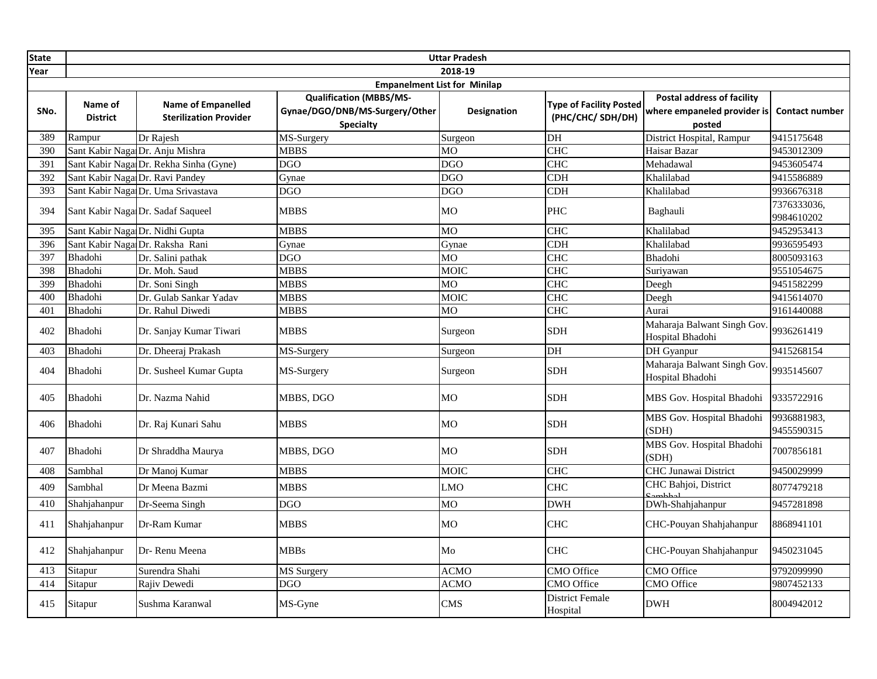| <b>State</b> | <b>Uttar Pradesh</b>                |                                                            |                                                                                      |                    |                                                    |                                                                            |                           |  |  |  |
|--------------|-------------------------------------|------------------------------------------------------------|--------------------------------------------------------------------------------------|--------------------|----------------------------------------------------|----------------------------------------------------------------------------|---------------------------|--|--|--|
| Year         | 2018-19                             |                                                            |                                                                                      |                    |                                                    |                                                                            |                           |  |  |  |
|              | <b>Empanelment List for Minilap</b> |                                                            |                                                                                      |                    |                                                    |                                                                            |                           |  |  |  |
| SNo.         | Name of<br><b>District</b>          | <b>Name of Empanelled</b><br><b>Sterilization Provider</b> | <b>Qualification (MBBS/MS-</b><br>Gynae/DGO/DNB/MS-Surgery/Other<br><b>Specialty</b> | <b>Designation</b> | <b>Type of Facility Posted</b><br>(PHC/CHC/SDH/DH) | <b>Postal address of facility</b><br>where empaneled provider is<br>posted | <b>Contact number</b>     |  |  |  |
| 389          | Rampur                              | Dr Rajesh                                                  | MS-Surgery                                                                           | Surgeon            | DH                                                 | District Hospital, Rampur                                                  | 9415175648                |  |  |  |
| 390          |                                     | Sant Kabir Naga Dr. Anju Mishra                            | <b>MBBS</b>                                                                          | MO                 | <b>CHC</b>                                         | Haisar Bazar                                                               | 9453012309                |  |  |  |
| 391          |                                     | Sant Kabir Naga Dr. Rekha Sinha (Gyne)                     | <b>DGO</b>                                                                           | <b>DGO</b>         | <b>CHC</b>                                         | Mehadawal                                                                  | 9453605474                |  |  |  |
| 392          |                                     | Sant Kabir Naga Dr. Ravi Pandey                            | Gynae                                                                                | <b>DGO</b>         | $\overline{\text{CDH}}$                            | Khalilabad                                                                 | 9415586889                |  |  |  |
| 393          |                                     | Sant Kabir Naga Dr. Uma Srivastava                         | <b>DGO</b>                                                                           | <b>DGO</b>         | <b>CDH</b>                                         | Khalilabad                                                                 | 9936676318                |  |  |  |
| 394          |                                     | Sant Kabir Naga Dr. Sadaf Saqueel                          | <b>MBBS</b>                                                                          | MO                 | <b>PHC</b>                                         | Baghauli                                                                   | 7376333036,<br>9984610202 |  |  |  |
| 395          |                                     | Sant Kabir Naga Dr. Nidhi Gupta                            | <b>MBBS</b>                                                                          | MO                 | <b>CHC</b>                                         | Khalilabad                                                                 | 9452953413                |  |  |  |
| 396          |                                     | Sant Kabir Naga Dr. Raksha Rani                            | Gynae                                                                                | Gynae              | <b>CDH</b>                                         | Khalilabad                                                                 | 9936595493                |  |  |  |
| 397          | Bhadohi                             | Dr. Salini pathak                                          | <b>DGO</b>                                                                           | MO                 | <b>CHC</b>                                         | Bhadohi                                                                    | 8005093163                |  |  |  |
| 398          | Bhadohi                             | Dr. Moh. Saud                                              | <b>MBBS</b>                                                                          | MOIC               | <b>CHC</b>                                         | Suriyawan                                                                  | 9551054675                |  |  |  |
| 399          | Bhadohi                             | Dr. Soni Singh                                             | <b>MBBS</b>                                                                          | MO                 | <b>CHC</b>                                         | Deegh                                                                      | 9451582299                |  |  |  |
| 400          | Bhadohi                             | Dr. Gulab Sankar Yadav                                     | <b>MBBS</b>                                                                          | <b>MOIC</b>        | <b>CHC</b>                                         | Deegh                                                                      | 9415614070                |  |  |  |
| 401          | Bhadohi                             | Dr. Rahul Diwedi                                           | <b>MBBS</b>                                                                          | MO                 | <b>CHC</b>                                         | Aurai                                                                      | 9161440088                |  |  |  |
| 402          | Bhadohi                             | Dr. Sanjay Kumar Tiwari                                    | <b>MBBS</b>                                                                          | Surgeon            | <b>SDH</b>                                         | Maharaja Balwant Singh Gov.<br>Hospital Bhadohi                            | 9936261419                |  |  |  |
| 403          | Bhadohi                             | Dr. Dheeraj Prakash                                        | MS-Surgery                                                                           | Surgeon            | DH                                                 | DH Gyanpur                                                                 | 9415268154                |  |  |  |
| 404          | Bhadohi                             | Dr. Susheel Kumar Gupta                                    | MS-Surgery                                                                           | Surgeon            | <b>SDH</b>                                         | Maharaja Balwant Singh Gov.<br>Hospital Bhadohi                            | 9935145607                |  |  |  |
| 405          | Bhadohi                             | Dr. Nazma Nahid                                            | MBBS, DGO                                                                            | MO                 | <b>SDH</b>                                         | MBS Gov. Hospital Bhadohi                                                  | 9335722916                |  |  |  |
| 406          | Bhadohi                             | Dr. Raj Kunari Sahu                                        | <b>MBBS</b>                                                                          | MO                 | <b>SDH</b>                                         | MBS Gov. Hospital Bhadohi<br>(SDH)                                         | 9936881983.<br>9455590315 |  |  |  |
| 407          | Bhadohi                             | Dr Shraddha Maurya                                         | MBBS. DGO                                                                            | <b>MO</b>          | <b>SDH</b>                                         | MBS Gov. Hospital Bhadohi<br>(SDH)                                         | 7007856181                |  |  |  |
| 408          | Sambhal                             | Dr Manoj Kumar                                             | <b>MBBS</b>                                                                          | MOIC               | <b>CHC</b>                                         | <b>CHC Junawai District</b>                                                | 9450029999                |  |  |  |
| 409          | Sambhal                             | Dr Meena Bazmi                                             | <b>MBBS</b>                                                                          | <b>LMO</b>         | <b>CHC</b>                                         | CHC Bahjoi, District                                                       | 8077479218                |  |  |  |
| 410          | Shahjahanpur                        | Dr-Seema Singh                                             | <b>DGO</b>                                                                           | МO                 | <b>DWH</b>                                         | DWh-Shahjahanpur                                                           | 9457281898                |  |  |  |
| 411          | Shahjahanpur                        | Dr-Ram Kumar                                               | <b>MBBS</b>                                                                          | MO                 | <b>CHC</b>                                         | CHC-Pouyan Shahjahanpur                                                    | 8868941101                |  |  |  |
| 412          | Shahjahanpur                        | Dr-Renu Meena                                              | <b>MBBs</b>                                                                          | Mo                 | <b>CHC</b>                                         | CHC-Pouyan Shahjahanpur                                                    | 9450231045                |  |  |  |
| 413          | Sitapur                             | Surendra Shahi                                             | <b>MS</b> Surgery                                                                    | <b>ACMO</b>        | CMO Office                                         | <b>CMO</b> Office                                                          | 9792099990                |  |  |  |
| 414          | Sitapur                             | Rajiv Dewedi                                               | <b>DGO</b>                                                                           | ACMO               | CMO Office                                         | CMO Office                                                                 | 9807452133                |  |  |  |
| 415          | Sitapur                             | Sushma Karanwal                                            | MS-Gyne                                                                              | <b>CMS</b>         | <b>District Female</b><br>Hospital                 | <b>DWH</b>                                                                 | 8004942012                |  |  |  |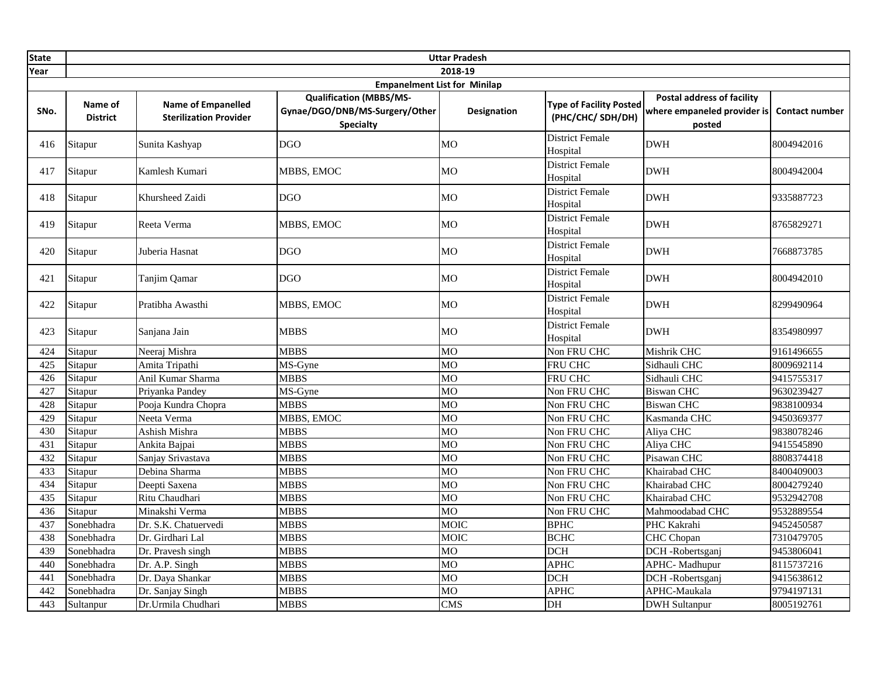| <b>State</b> | <b>Uttar Pradesh</b>                |                                                            |                                                                                      |                        |                                                    |                                                                            |                       |  |  |
|--------------|-------------------------------------|------------------------------------------------------------|--------------------------------------------------------------------------------------|------------------------|----------------------------------------------------|----------------------------------------------------------------------------|-----------------------|--|--|
| Year         | 2018-19                             |                                                            |                                                                                      |                        |                                                    |                                                                            |                       |  |  |
|              | <b>Empanelment List for Minilap</b> |                                                            |                                                                                      |                        |                                                    |                                                                            |                       |  |  |
| SNo.         | Name of<br><b>District</b>          | <b>Name of Empanelled</b><br><b>Sterilization Provider</b> | <b>Qualification (MBBS/MS-</b><br>Gynae/DGO/DNB/MS-Surgery/Other<br><b>Specialty</b> | <b>Designation</b>     | <b>Type of Facility Posted</b><br>(PHC/CHC/SDH/DH) | <b>Postal address of facility</b><br>where empaneled provider is<br>posted | <b>Contact number</b> |  |  |
| 416          | Sitapur                             | Sunita Kashyap                                             | <b>DGO</b>                                                                           | <b>MO</b>              | <b>District Female</b><br>Hospital                 | <b>DWH</b>                                                                 | 8004942016            |  |  |
| 417          | Sitapur                             | Kamlesh Kumari                                             | MBBS, EMOC                                                                           | МO                     | <b>District Female</b><br>Hospital                 | <b>DWH</b>                                                                 | 8004942004            |  |  |
| 418          | Sitapur                             | Khursheed Zaidi                                            | <b>DGO</b>                                                                           | <b>MO</b>              | <b>District Female</b><br>Hospital                 | <b>DWH</b>                                                                 | 9335887723            |  |  |
| 419          | Sitapur                             | Reeta Verma                                                | MBBS, EMOC                                                                           | MO                     | <b>District Female</b><br>Hospital                 | <b>DWH</b>                                                                 | 8765829271            |  |  |
| 420          | Sitapur                             | Juberia Hasnat                                             | <b>DGO</b>                                                                           | <b>MO</b>              | <b>District Female</b><br>Hospital                 | <b>DWH</b>                                                                 | 7668873785            |  |  |
| 421          | Sitapur                             | Tanjim Qamar                                               | <b>DGO</b>                                                                           | MO                     | <b>District Female</b><br>Hospital                 | <b>DWH</b>                                                                 | 8004942010            |  |  |
| 422          | Sitapur                             | Pratibha Awasthi                                           | MBBS, EMOC                                                                           | МO                     | <b>District Female</b><br>Hospital                 | <b>DWH</b>                                                                 | 8299490964            |  |  |
| 423          | Sitapur                             | Sanjana Jain                                               | <b>MBBS</b>                                                                          | MO                     | <b>District Female</b><br>Hospital                 | <b>DWH</b>                                                                 | 8354980997            |  |  |
| 424          | Sitapur                             | Neeraj Mishra                                              | <b>MBBS</b>                                                                          | <b>MO</b>              | Non FRU CHC                                        | Mishrik CHC                                                                | 9161496655            |  |  |
| 425          | Sitapur                             | Amita Tripathi                                             | MS-Gyne                                                                              | <b>MO</b>              | FRU CHC                                            | Sidhauli CHC                                                               | 8009692114            |  |  |
| 426          | Sitapur                             | Anil Kumar Sharma                                          | <b>MBBS</b>                                                                          | MO                     | FRU CHC                                            | Sidhauli CHC                                                               | 9415755317            |  |  |
| 427          | Sitapur                             | Priyanka Pandey                                            | MS-Gyne                                                                              | MO                     | Non FRU CHC                                        | <b>Biswan CHC</b>                                                          | 9630239427            |  |  |
| 428          | Sitapur                             | Pooja Kundra Chopra                                        | <b>MBBS</b>                                                                          | MO                     | Non FRU CHC                                        | <b>Biswan CHC</b>                                                          | 9838100934            |  |  |
| 429          | Sitapur                             | Neeta Verma                                                | MBBS, EMOC                                                                           | MO                     | Non FRU CHC                                        | Kasmanda CHC                                                               | 9450369377            |  |  |
| 430          | Sitapur                             | Ashish Mishra                                              | <b>MBBS</b>                                                                          | $\overline{\text{MO}}$ | Non FRU CHC                                        | Aliya CHC                                                                  | 9838078246            |  |  |
| 431          | Sitapur                             | Ankita Bajpai                                              | <b>MBBS</b>                                                                          | <b>MO</b>              | Non FRU CHC                                        | Aliya CHC                                                                  | 9415545890            |  |  |
| 432          | Sitapur                             | Sanjay Srivastava                                          | <b>MBBS</b>                                                                          | <b>MO</b>              | Non FRU CHC                                        | Pisawan CHC                                                                | 8808374418            |  |  |
| 433          | Sitapur                             | Debina Sharma                                              | <b>MBBS</b>                                                                          | <b>MO</b>              | Non FRU CHC                                        | Khairabad CHC                                                              | 8400409003            |  |  |
| 434          | Sitapur                             | Deepti Saxena                                              | <b>MBBS</b>                                                                          | <b>MO</b>              | Non FRU CHC                                        | Khairabad CHC                                                              | 8004279240            |  |  |
| 435          | Sitapur                             | Ritu Chaudhari                                             | <b>MBBS</b>                                                                          | <b>MO</b>              | Non FRU CHC                                        | Khairabad CHC                                                              | 9532942708            |  |  |
| 436          | Sitapur                             | Minakshi Verma                                             | <b>MBBS</b>                                                                          | MO                     | Non FRU CHC                                        | Mahmoodabad CHC                                                            | 9532889554            |  |  |
| 437          | Sonebhadra                          | Dr. S.K. Chatuervedi                                       | <b>MBBS</b>                                                                          | <b>MOIC</b>            | <b>BPHC</b>                                        | PHC Kakrahi                                                                | 9452450587            |  |  |
| 438          | Sonebhadra                          | Dr. Girdhari Lal                                           | <b>MBBS</b>                                                                          | <b>MOIC</b>            | <b>BCHC</b>                                        | CHC Chopan                                                                 | 7310479705            |  |  |
| 439          | Sonebhadra                          | Dr. Pravesh singh                                          | <b>MBBS</b>                                                                          | MO                     | <b>DCH</b>                                         | DCH -Robertsganj                                                           | 9453806041            |  |  |
| 440          | Sonebhadra                          | Dr. A.P. Singh                                             | <b>MBBS</b>                                                                          | MO                     | <b>APHC</b>                                        | <b>APHC-Madhupur</b>                                                       | 8115737216            |  |  |
| 441          | Sonebhadra                          | Dr. Daya Shankar                                           | <b>MBBS</b>                                                                          | МO                     | <b>DCH</b>                                         | DCH -Robertsganj                                                           | 9415638612            |  |  |
| 442          | Sonebhadra                          | Dr. Sanjay Singh                                           | <b>MBBS</b>                                                                          | MO                     | <b>APHC</b>                                        | APHC-Maukala                                                               | 9794197131            |  |  |
| 443          | Sultanpur                           | Dr.Urmila Chudhari                                         | <b>MBBS</b>                                                                          | <b>CMS</b>             | DH                                                 | <b>DWH</b> Sultanpur                                                       | 8005192761            |  |  |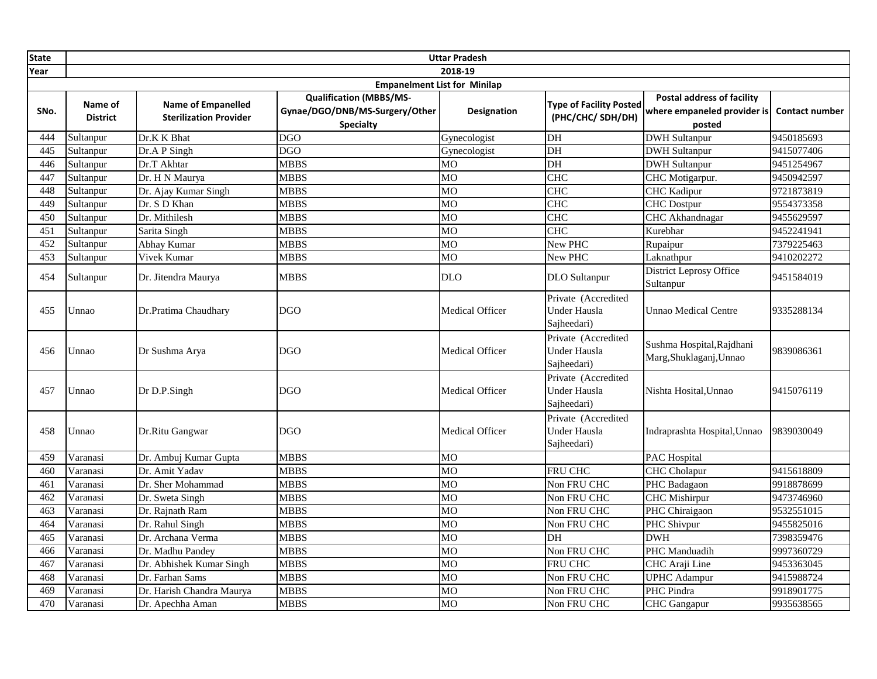| <b>State</b>     | <b>Uttar Pradesh</b>                |                                                            |                                                                                      |                        |                                                           |                                                                            |                       |  |  |
|------------------|-------------------------------------|------------------------------------------------------------|--------------------------------------------------------------------------------------|------------------------|-----------------------------------------------------------|----------------------------------------------------------------------------|-----------------------|--|--|
| Year             | 2018-19                             |                                                            |                                                                                      |                        |                                                           |                                                                            |                       |  |  |
|                  | <b>Empanelment List for Minilap</b> |                                                            |                                                                                      |                        |                                                           |                                                                            |                       |  |  |
| SNo.             | Name of<br><b>District</b>          | <b>Name of Empanelled</b><br><b>Sterilization Provider</b> | <b>Qualification (MBBS/MS-</b><br>Gynae/DGO/DNB/MS-Surgery/Other<br><b>Specialty</b> | <b>Designation</b>     | <b>Type of Facility Posted</b><br>(PHC/CHC/SDH/DH)        | <b>Postal address of facility</b><br>where empaneled provider is<br>posted | <b>Contact number</b> |  |  |
| 444              | Sultanpur                           | Dr.K K Bhat                                                | <b>DGO</b>                                                                           | Gynecologist           | DH                                                        | <b>DWH Sultanpur</b>                                                       | 9450185693            |  |  |
| 445              | Sultanpur                           | Dr.A P Singh                                               | <b>DGO</b>                                                                           | Gynecologist           | DH                                                        | <b>DWH Sultanpur</b>                                                       | 9415077406            |  |  |
| 446              | Sultanpur                           | Dr.T Akhtar                                                | <b>MBBS</b>                                                                          | M <sub>O</sub>         | DH                                                        | <b>DWH Sultanpur</b>                                                       | 9451254967            |  |  |
| 447              | Sultanpur                           | Dr. H N Maurya                                             | <b>MBBS</b>                                                                          | <b>MO</b>              | <b>CHC</b>                                                | CHC Motigarpur.                                                            | 9450942597            |  |  |
| 448              | Sultanpur                           | Dr. Ajay Kumar Singh                                       | <b>MBBS</b>                                                                          | <b>MO</b>              | <b>CHC</b>                                                | <b>CHC</b> Kadipur                                                         | 9721873819            |  |  |
| 449              | Sultanpur                           | Dr. S D Khan                                               | <b>MBBS</b>                                                                          | <b>MO</b>              | $CH\overline{C}$                                          | <b>CHC</b> Dostpur                                                         | 9554373358            |  |  |
| $\overline{450}$ | Sultanpur                           | Dr. Mithilesh                                              | <b>MBBS</b>                                                                          | <b>MO</b>              | <b>CHC</b>                                                | CHC Akhandnagar                                                            | 9455629597            |  |  |
| 451              | Sultanpur                           | Sarita Singh                                               | <b>MBBS</b>                                                                          | MO                     | <b>CHC</b>                                                | Kurebhar                                                                   | 9452241941            |  |  |
| 452              | Sultanpur                           | Abhay Kumar                                                | <b>MBBS</b>                                                                          | M <sub>O</sub>         | New PHC                                                   | Rupaipur                                                                   | 7379225463            |  |  |
| $\overline{453}$ | Sultanpur                           | Vivek Kumar                                                | <b>MBBS</b>                                                                          | MО                     | New PHC                                                   | Laknathpur                                                                 | 9410202272            |  |  |
| 454              | Sultanpur                           | Dr. Jitendra Maurya                                        | <b>MBBS</b>                                                                          | DLO                    | <b>DLO</b> Sultanpur                                      | District Leprosy Office<br>Sultanpur                                       | 9451584019            |  |  |
| 455              | Unnao                               | Dr.Pratima Chaudhary                                       | <b>DGO</b>                                                                           | Medical Officer        | Private (Accredited<br><b>Under Hausla</b><br>Sajheedari) | <b>Unnao Medical Centre</b>                                                | 9335288134            |  |  |
| 456              | Unnao                               | Dr Sushma Arya                                             | <b>DGO</b>                                                                           | Medical Officer        | Private (Accredited<br>Under Hausla<br>Sajheedari)        | Sushma Hospital, Rajdhani<br>Marg, Shuklaganj, Unnao                       | 9839086361            |  |  |
| 457              | Unnao                               | Dr D.P.Singh                                               | <b>DGO</b>                                                                           | <b>Medical Officer</b> | Private (Accredited<br><b>Under Hausla</b><br>Sajheedari) | Nishta Hosital. Unnao                                                      | 9415076119            |  |  |
| 458              | Unnao                               | Dr.Ritu Gangwar                                            | <b>DGO</b>                                                                           | Medical Officer        | Private (Accredited<br><b>Under Hausla</b><br>Sajheedari) | Indraprashta Hospital, Unnao                                               | 9839030049            |  |  |
| 459              | Varanasi                            | Dr. Ambuj Kumar Gupta                                      | <b>MBBS</b>                                                                          | MO                     |                                                           | PAC Hospital                                                               |                       |  |  |
| 460              | Varanasi                            | Dr. Amit Yadav                                             | <b>MBBS</b>                                                                          | <b>MO</b>              | FRU CHC                                                   | <b>CHC</b> Cholapur                                                        | 9415618809            |  |  |
| 461              | Varanasi                            | Dr. Sher Mohammad                                          | <b>MBBS</b>                                                                          | <b>MO</b>              | Non FRU CHC                                               | PHC Badagaon                                                               | 9918878699            |  |  |
| 462              | Varanasi                            | Dr. Sweta Singh                                            | <b>MBBS</b>                                                                          | <b>MO</b>              | Non FRU CHC                                               | <b>CHC</b> Mishirpur                                                       | 9473746960            |  |  |
| 463              | Varanasi                            | Dr. Rajnath Ram                                            | <b>MBBS</b>                                                                          | M <sub>O</sub>         | Non FRU CHC                                               | PHC Chiraigaon                                                             | 9532551015            |  |  |
| 464              | Varanasi                            | Dr. Rahul Singh                                            | <b>MBBS</b>                                                                          | MO                     | Non FRU CHC                                               | PHC Shivpur                                                                | 9455825016            |  |  |
| 465              | Varanasi                            | Dr. Archana Verma                                          | <b>MBBS</b>                                                                          | M <sub>O</sub>         | DH                                                        | <b>DWH</b>                                                                 | 7398359476            |  |  |
| 466              | Varanasi                            | Dr. Madhu Pandey                                           | <b>MBBS</b>                                                                          | <b>MO</b>              | Non FRU CHC                                               | PHC Manduadih                                                              | 9997360729            |  |  |
| 467              | Varanasi                            | Dr. Abhishek Kumar Singh                                   | <b>MBBS</b>                                                                          | <b>MO</b>              | <b>FRU CHC</b>                                            | CHC Araji Line                                                             | 9453363045            |  |  |
| 468              | Varanasi                            | Dr. Farhan Sams                                            | <b>MBBS</b>                                                                          | <b>MO</b>              | Non FRU CHC                                               | <b>UPHC</b> Adampur                                                        | 9415988724            |  |  |
| 469              | Varanasi                            | Dr. Harish Chandra Maurya                                  | <b>MBBS</b>                                                                          | <b>MO</b>              | Non FRU CHC                                               | PHC Pindra                                                                 | 9918901775            |  |  |
| 470              | Varanasi                            | Dr. Apechha Aman                                           | <b>MBBS</b>                                                                          | <b>MO</b>              | Non FRU CHC                                               | <b>CHC</b> Gangapur                                                        | 9935638565            |  |  |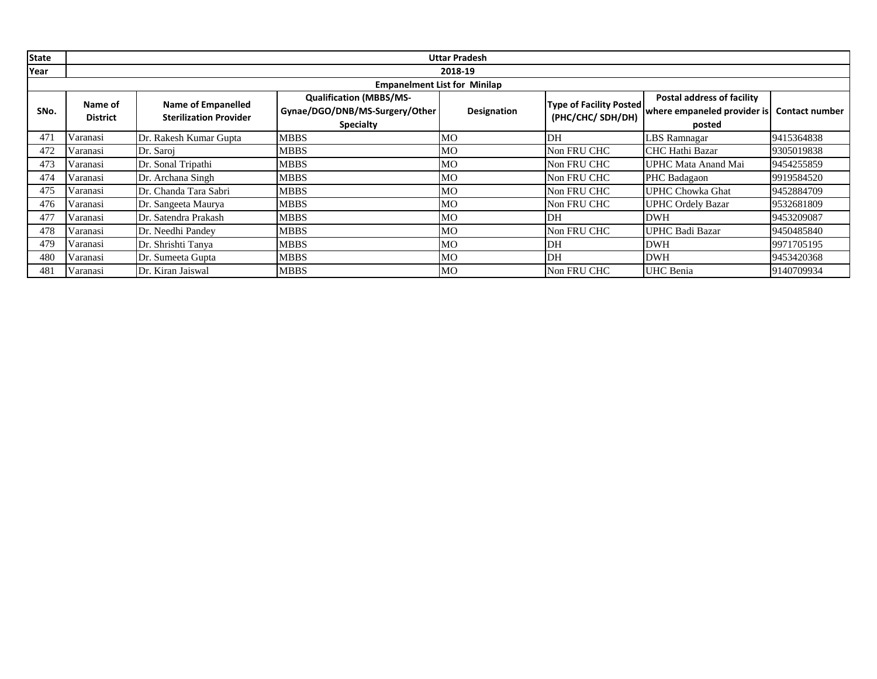| <b>State</b> |                                     | <b>Uttar Pradesh</b>          |                                |                |                                |                                   |                       |  |  |
|--------------|-------------------------------------|-------------------------------|--------------------------------|----------------|--------------------------------|-----------------------------------|-----------------------|--|--|
| Year         |                                     |                               |                                | 2018-19        |                                |                                   |                       |  |  |
|              | <b>Empanelment List for Minilap</b> |                               |                                |                |                                |                                   |                       |  |  |
|              | Name of                             | <b>Name of Empanelled</b>     | <b>Qualification (MBBS/MS-</b> |                | <b>Type of Facility Posted</b> | <b>Postal address of facility</b> |                       |  |  |
| SNo.         | <b>District</b>                     | <b>Sterilization Provider</b> | Gynae/DGO/DNB/MS-Surgery/Other | Designation    | (PHC/CHC/ SDH/DH)              | where empaneled provider is       | <b>Contact number</b> |  |  |
|              |                                     |                               | <b>Specialty</b>               |                |                                | posted                            |                       |  |  |
| 471          | Varanasi                            | Dr. Rakesh Kumar Gupta        | <b>MBBS</b>                    | MО             | DH                             | <b>LBS</b> Ramnagar               | 9415364838            |  |  |
| 472          | Varanasi                            | Dr. Saroj                     | <b>MBBS</b>                    | M <sub>O</sub> | Non FRU CHC                    | CHC Hathi Bazar                   | 9305019838            |  |  |
| 473          | Varanasi                            | Dr. Sonal Tripathi            | <b>MBBS</b>                    | MO             | Non FRU CHC                    | UPHC Mata Anand Mai               | 9454255859            |  |  |
| 474          | Varanasi                            | Dr. Archana Singh             | <b>MBBS</b>                    | MО             | Non FRU CHC                    | PHC Badagaon                      | 9919584520            |  |  |
| 475          | Varanasi                            | Dr. Chanda Tara Sabri         | <b>MBBS</b>                    | MO             | Non FRU CHC                    | UPHC Chowka Ghat                  | 9452884709            |  |  |
| 476          | Varanasi                            | Dr. Sangeeta Maurya           | <b>MBBS</b>                    | MО             | Non FRU CHC                    | <b>UPHC Ordely Bazar</b>          | 9532681809            |  |  |
| 477          | Varanasi                            | Dr. Satendra Prakash          | <b>MBBS</b>                    | M <sub>O</sub> | DH                             | <b>DWH</b>                        | 9453209087            |  |  |
| 478          | Varanasi                            | Dr. Needhi Pandey             | <b>MBBS</b>                    | MО             | Non FRU CHC                    | UPHC Badi Bazar                   | 9450485840            |  |  |
| 479          | Varanasi                            | Dr. Shrishti Tanya            | <b>MBBS</b>                    | MO             | DH                             | <b>DWH</b>                        | 9971705195            |  |  |
| 480          | Varanasi                            | Dr. Sumeeta Gupta             | <b>MBBS</b>                    | МO             | DH                             | <b>DWH</b>                        | 9453420368            |  |  |
| 481          | Varanasi                            | Dr. Kiran Jaiswal             | <b>MBBS</b>                    | M <sub>O</sub> | Non FRU CHC                    | <b>UHC</b> Benia                  | 9140709934            |  |  |